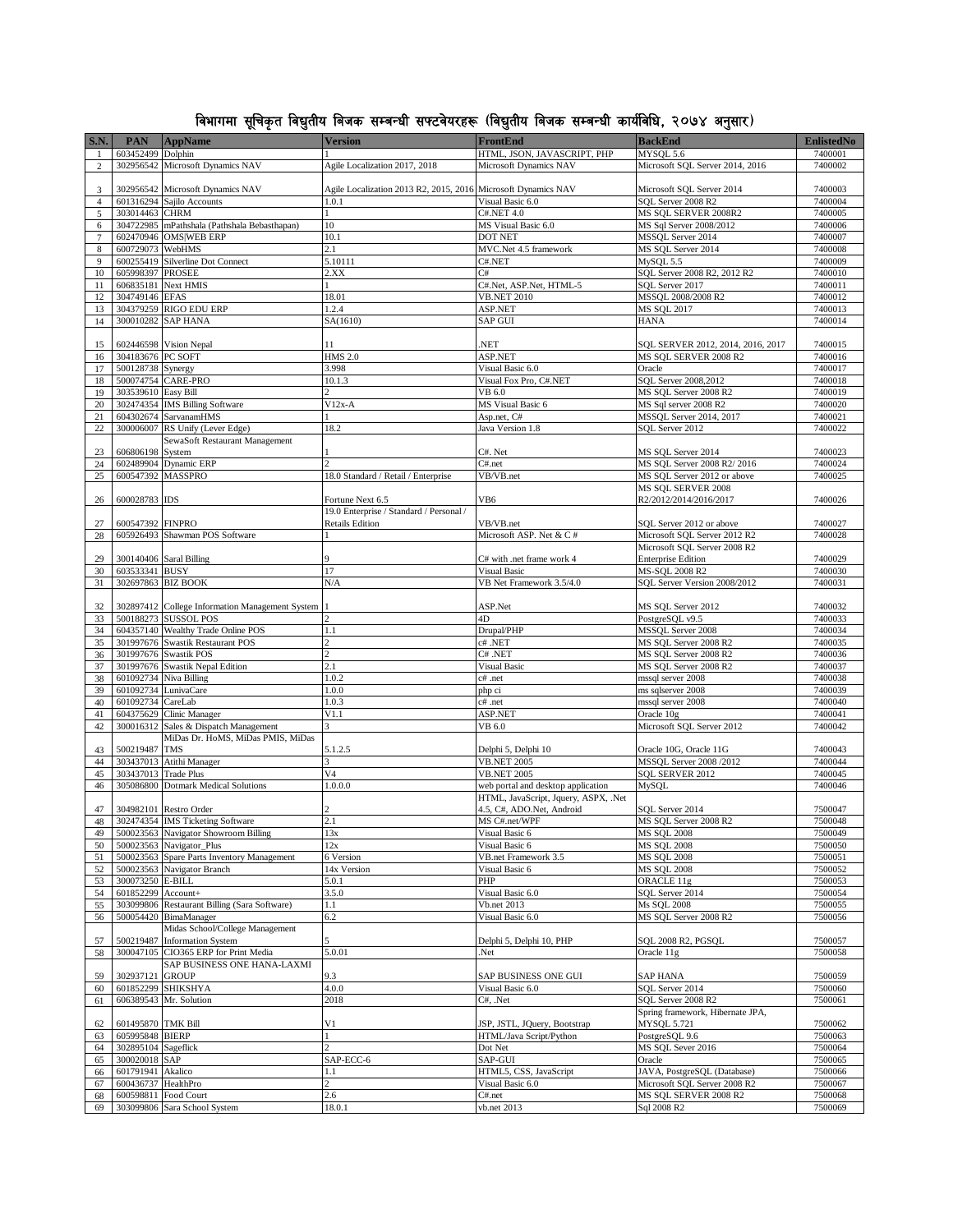## विभागमा सूचिकृत विद्युतीय बिजक सम्बन्धी सफ्टवेयरहरू (विद्युतीय बिजक सम्बन्धी कार्यविधि, २०७४ अनुसार)

| <b>S.N.</b>      | <b>PAN</b>                             | <b>AppName</b>                                              | <b>Version</b>                                                | FrontEnd                                                                   | <b>BackEnd</b>                                           | <b>EnlistedNo</b>  |
|------------------|----------------------------------------|-------------------------------------------------------------|---------------------------------------------------------------|----------------------------------------------------------------------------|----------------------------------------------------------|--------------------|
| $\mathbf{1}$     | 603452499 Dolphin                      |                                                             |                                                               | HTML, JSON, JAVASCRIPT, PHP                                                | MYSOL 5.6                                                | 7400001            |
| $\overline{c}$   | 302956542                              | Microsoft Dynamics NAV                                      | Agile Localization 2017, 2018                                 | Microsoft Dynamics NAV                                                     | Microsoft SQL Server 2014, 2016                          | 7400002            |
|                  |                                        |                                                             |                                                               |                                                                            |                                                          |                    |
| 3                |                                        | 302956542 Microsoft Dynamics NAV                            | Agile Localization 2013 R2, 2015, 2016 Microsoft Dynamics NAV |                                                                            | Microsoft SQL Server 2014                                | 7400003            |
| $\overline{4}$   |                                        | 601316294 Sajilo Accounts                                   | 1.0.1                                                         | Visual Basic 6.0                                                           | SQL Server 2008 R2                                       | 7400004            |
| 5                | 303014463 CHRM                         |                                                             |                                                               | <b>C#.NET 4.0</b>                                                          | MS SOL SERVER 2008R2                                     | 7400005            |
| 6                |                                        | 304722985 mPathshala (Pathshala Bebasthapan)                | $10\,$                                                        | MS Visual Basic 6.0                                                        | MS Sql Server 2008/2012                                  | 7400006            |
| $\tau$           |                                        | 602470946 OMS WEB ERP<br>WebHMS                             | 10.1<br>2.1                                                   | <b>DOT NET</b>                                                             | MSSQL Server 2014                                        | 7400007<br>7400008 |
| $\,$ 8 $\,$<br>9 | 600729073<br>600255419                 | Silverline Dot Connect                                      | 5.10111                                                       | MVC.Net 4.5 framework<br>C#.NET                                            | MS SQL Server 2014<br>MySQL 5.5                          | 7400009            |
| 10               | 605998397 PROSEE                       |                                                             | 2.XX                                                          | C#                                                                         | SQL Server 2008 R2, 2012 R2                              | 7400010            |
| 11               |                                        | 606835181 Next HMIS                                         |                                                               | C#.Net, ASP.Net, HTML-5                                                    | SQL Server 2017                                          | 7400011            |
| 12               | 304749146 EFAS                         |                                                             | 18.01                                                         | <b>VB.NET 2010</b>                                                         | MSSQL 2008/2008 R2                                       | 7400012            |
| 13               |                                        | 304379259 RIGO EDU ERP                                      | 1.2.4                                                         | ASP.NET                                                                    | <b>MS SQL 2017</b>                                       | 7400013            |
| 14               |                                        | 300010282 SAP HANA                                          | SA(1610)                                                      | SAP GUI                                                                    | <b>HANA</b>                                              | 7400014            |
|                  |                                        |                                                             |                                                               |                                                                            |                                                          |                    |
| 15               |                                        | 602446598 Vision Nepal                                      | 11                                                            | .NET                                                                       | SQL SERVER 2012, 2014, 2016, 2017                        | 7400015            |
| 16               | 304183676 PC SOFT                      |                                                             | <b>HMS 2.0</b>                                                | ASP.NET                                                                    | MS SQL SERVER 2008 R2                                    | 7400016            |
| 17<br>18         | 500128738 Synergy                      |                                                             | 3.998<br>10.1.3                                               | Visual Basic 6.0<br>Visual Fox Pro, C#.NET                                 | Oracle<br>SQL Server 2008,2012                           | 7400017<br>7400018 |
| 19               | 303539610 Easy Bill                    | 500074754 CARE-PRO                                          |                                                               | VB 6.0                                                                     | MS SQL Server 2008 R2                                    | 7400019            |
| 20               |                                        | 302474354 IMS Billing Software                              | $V12x-A$                                                      | MS Visual Basic 6                                                          | MS Sql server 2008 R2                                    | 7400020            |
| 21               |                                        | 604302674 SarvanamHMS                                       |                                                               | Asp.net, C#                                                                | MSSQL Server 2014, 2017                                  | 7400021            |
| 22               |                                        | 300006007 RS Unify (Lever Edge)                             | 18.2                                                          | Java Version 1.8                                                           | SQL Server 2012                                          | 7400022            |
|                  |                                        | SewaSoft Restaurant Management                              |                                                               |                                                                            |                                                          |                    |
| 23               | 606806198 System                       |                                                             |                                                               | C#. Net                                                                    | MS SQL Server 2014                                       | 7400023            |
| 24               |                                        | 602489904 Dynamic ERP                                       |                                                               | C#.net                                                                     | MS SQL Server 2008 R2/2016                               | 7400024            |
| 25               |                                        | 600547392 MASSPRO                                           | 18.0 Standard / Retail / Enterprise                           | VB/VB.net                                                                  | MS SQL Server 2012 or above                              | 7400025            |
|                  |                                        |                                                             |                                                               |                                                                            | MS SOL SERVER 2008                                       |                    |
| 26               | 600028783 IDS                          |                                                             | Fortune Next 6.5                                              | VB6                                                                        | R2/2012/2014/2016/2017                                   | 7400026            |
|                  |                                        |                                                             | 19.0 Enterprise / Standard / Personal /                       |                                                                            |                                                          |                    |
| 27<br>28         | 600547392 FINPRO<br>605926493          | Shawman POS Software                                        | <b>Retails Edition</b>                                        | VB/VB.net<br>Microsoft ASP. Net & C#                                       | SQL Server 2012 or above<br>Microsoft SQL Server 2012 R2 | 7400027<br>7400028 |
|                  |                                        |                                                             |                                                               |                                                                            | Microsoft SQL Server 2008 R2                             |                    |
| 29               |                                        | 300140406 Saral Billing                                     |                                                               | C# with .net frame work 4                                                  | <b>Enterprise Edition</b>                                | 7400029            |
| 30               | 603533341 BUSY                         |                                                             | 17                                                            | Visual Basic                                                               | MS-SQL 2008 R2                                           | 7400030            |
| 31               |                                        | 302697863 BIZ BOOK                                          | N/A                                                           | VB Net Framework 3.5/4.0                                                   | SQL Server Version 2008/2012                             | 7400031            |
|                  |                                        |                                                             |                                                               |                                                                            |                                                          |                    |
| 32               |                                        | 302897412 College Information Management System             |                                                               | ASP.Net                                                                    | MS SQL Server 2012                                       | 7400032            |
| 33               |                                        | 500188273 SUSSOL POS                                        |                                                               | 4D                                                                         | PostgreSQL v9.5                                          | 7400033            |
| 34               |                                        | 604357140 Wealthy Trade Online POS                          | 1.1                                                           | Drupal/PHP                                                                 | MSSQL Server 2008                                        | 7400034            |
| 35               | 301997676                              | 301997676 Swastik Restaurant POS<br><b>Swastik POS</b>      | 2                                                             | c# .NET<br>C# .NET                                                         | MS SQL Server 2008 R2                                    | 7400035            |
| 36<br>37         |                                        | 301997676 Swastik Nepal Edition                             | 2.1                                                           | <b>Visual Basic</b>                                                        | MS SQL Server 2008 R2<br>MS SQL Server 2008 R2           | 7400036<br>7400037 |
| 38               | 601092734                              | Niva Billing                                                | 1.0.2                                                         | c# .net                                                                    | mssql server 2008                                        | 7400038            |
| 39               |                                        | 601092734 LunivaCare                                        | 1.0.0                                                         | php ci                                                                     | ms sqlserver 2008                                        | 7400039            |
| 40               | 601092734 CareLab                      |                                                             | 1.0.3                                                         | c# .net                                                                    | mssql server 2008                                        | 7400040            |
| 41               |                                        | 604375629 Clinic Manager                                    | V1.1                                                          | ASP.NET                                                                    | Oracle 10g                                               | 7400041            |
| 42               |                                        | 300016312 Sales & Dispatch Management                       |                                                               | VB 6.0                                                                     | Microsoft SQL Server 2012                                | 7400042            |
|                  |                                        | MiDas Dr. HoMS, MiDas PMIS, MiDas                           |                                                               |                                                                            |                                                          |                    |
| 43               | 500219487 TMS                          |                                                             | 5.1.2.5                                                       | Delphi 5, Delphi 10                                                        | Oracle 10G, Oracle 11G                                   | 7400043            |
| 44               | 303437013                              | Atithi Manager                                              | 3                                                             | <b>VB.NET 2005</b>                                                         | MSSQL Server 2008 /2012                                  | 7400044            |
| 45               | 303437013                              | <b>Trade Plus</b>                                           | V <sub>4</sub>                                                | <b>VB.NET 2005</b>                                                         | SQL SERVER 2012                                          | 7400045            |
| 46               | 305086800                              | <b>Dotmark Medical Solutions</b>                            | 1.0.0.0                                                       | web portal and desktop application<br>HTML, JavaScript, Jquery, ASPX, .Net | MySQL                                                    | 7400046            |
| 47               |                                        | 304982101 Restro Order                                      |                                                               | 4.5, C#, ADO.Net, Android                                                  | SQL Server 2014                                          | 7500047            |
| 48               |                                        | 302474354 IMS Ticketing Software                            | 2.1                                                           | MS C#.net/WPF                                                              | MS SQL Server 2008 R2                                    | 7500048            |
| 49               |                                        | 500023563 Navigator Showroom Billing                        | 13x                                                           | Visual Basic 6                                                             | <b>MS SQL 2008</b>                                       | 7500049            |
| 50               | 500023563                              | Navigator Plus                                              | 12x                                                           | Visual Basic 6                                                             | <b>MS SOL 2008</b>                                       | 7500050            |
| 51               | 500023563                              | Spare Parts Inventory Management                            | 6 Version                                                     | VB.net Framework 3.5                                                       | <b>MS SOL 2008</b>                                       | 7500051            |
| 52               | 500023563                              | Navigator Branch                                            | 14x Version                                                   | Visual Basic 6                                                             | <b>MS SQL 2008</b>                                       | 7500052            |
| 53               | 300073250 E-BILL                       |                                                             | 5.0.1                                                         | PHP                                                                        | ORACLE 11g                                               | 7500053            |
| 54               | 601852299                              | Account+                                                    | 3.5.0                                                         | Visual Basic 6.0                                                           | SQL Server 2014                                          | 7500054            |
| 55               | 303099806                              | Restaurant Billing (Sara Software)<br>500054420 BimaManager | 1.1<br>6.2                                                    | <b>Vb.net 2013</b><br>Visual Basic 6.0                                     | Ms SQL 2008<br>MS SQL Server 2008 R2                     | 7500055<br>7500056 |
| 56               |                                        | Midas School/College Management                             |                                                               |                                                                            |                                                          |                    |
| 57               | 500219487                              | <b>Information System</b>                                   |                                                               | Delphi 5, Delphi 10, PHP                                                   | SQL 2008 R2, PGSQL                                       | 7500057            |
| 58               | 300047105                              | CIO365 ERP for Print Media                                  | 5.0.01                                                        | .Net                                                                       | Oracle 11g                                               | 7500058            |
|                  |                                        | SAP BUSINESS ONE HANA-LAXMI                                 |                                                               |                                                                            |                                                          |                    |
| 59               | 302937121                              | <b>GROUP</b>                                                | 9.3                                                           | SAP BUSINESS ONE GUI                                                       | <b>SAP HANA</b>                                          | 7500059            |
| 60               | 601852299                              | <b>SHIKSHYA</b>                                             | 4.0.0                                                         | Visual Basic 6.0                                                           | SQL Server 2014                                          | 7500060            |
| 61               | 606389543                              | Mr. Solution                                                | 2018                                                          | C#, .Net                                                                   | SQL Server 2008 R2                                       | 7500061            |
|                  |                                        |                                                             |                                                               |                                                                            | Spring framework, Hibernate JPA,                         |                    |
| 62               | 601495870 TMK Bill                     |                                                             | V1                                                            | JSP, JSTL, JQuery, Bootstrap                                               | <b>MYSOL 5.721</b>                                       | 7500062            |
| 63<br>64         | 605995848 BIERP<br>302895104 Sageflick |                                                             |                                                               | HTML/Java Script/Python<br>Dot Net                                         | PostgreSQL 9.6<br>MS SQL Sever 2016                      | 7500063<br>7500064 |
| 65               | 300020018 SAP                          |                                                             | SAP-ECC-6                                                     | SAP-GUI                                                                    | Oracle                                                   | 7500065            |
| 66               | 601791941                              | Akalico                                                     | 1.1                                                           | HTML5, CSS, JavaScript                                                     | JAVA, PostgreSQL (Database)                              | 7500066            |
| 67               | 600436737                              | HealthPro                                                   | $\overline{2}$                                                | Visual Basic 6.0                                                           | Microsoft SQL Server 2008 R2                             | 7500067            |
| 68               |                                        | 600598811 Food Court                                        | 2.6                                                           | C#.net                                                                     | MS SQL SERVER 2008 R2                                    | 7500068            |
| 69               |                                        | 303099806 Sara School System                                | 18.0.1                                                        | vb.net 2013                                                                | Sql 2008 R2                                              | 7500069            |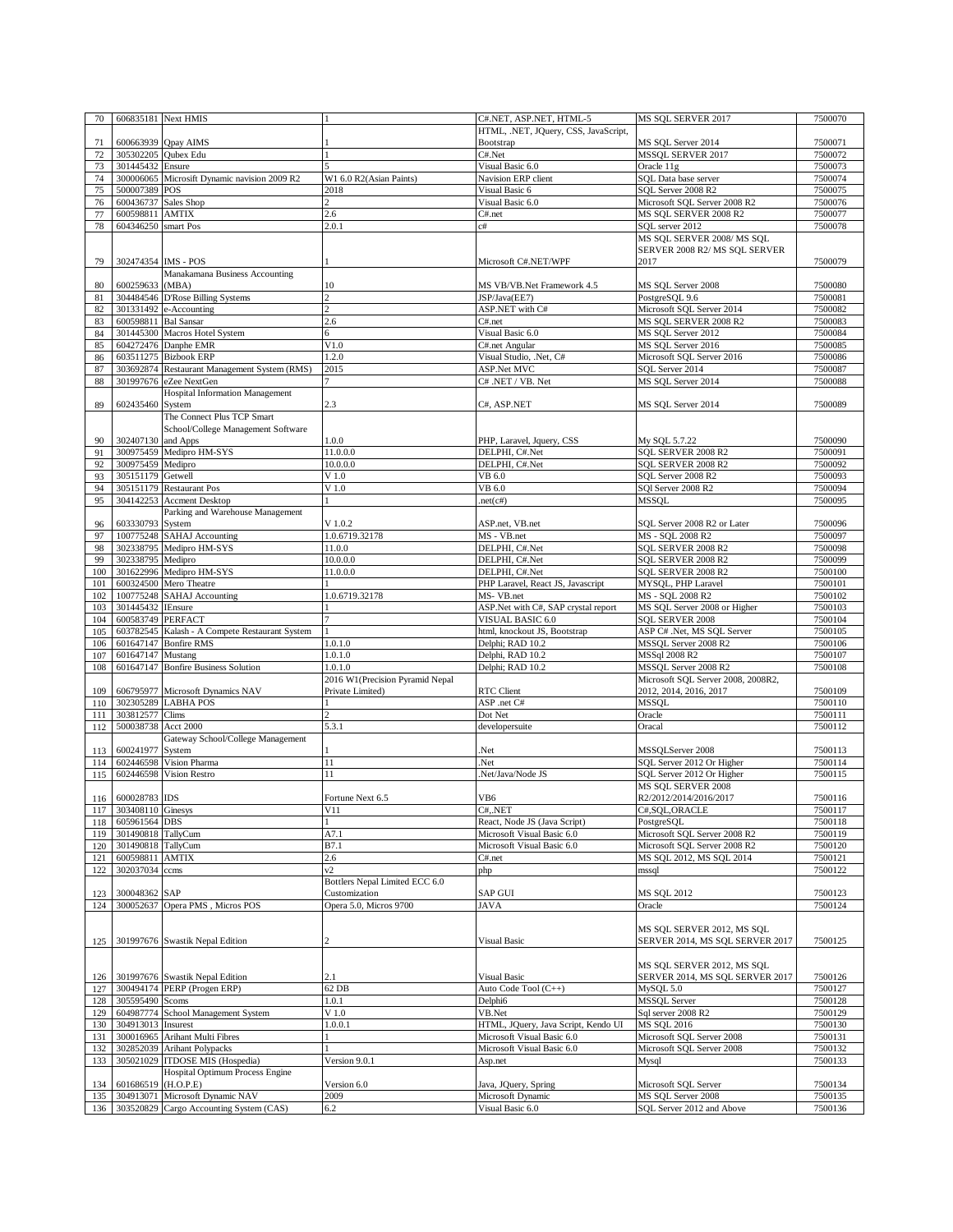| 70         | 606835181 Next HMIS   |                                                                            |                                 | C#.NET, ASP.NET, HTML-5               | MS SQL SERVER 2017                              | 7500070            |
|------------|-----------------------|----------------------------------------------------------------------------|---------------------------------|---------------------------------------|-------------------------------------------------|--------------------|
|            |                       |                                                                            |                                 | HTML, .NET, JQuery, CSS, JavaScript,  |                                                 |                    |
| 71         |                       | 600663939 Qpay AIMS                                                        |                                 | Bootstrap                             | MS SQL Server 2014                              | 7500071            |
| 72         | 305302205 Qubex Edu   |                                                                            |                                 | C#.Net                                | MSSQL SERVER 2017                               | 7500072            |
| 73         | 301445432             | Ensure                                                                     |                                 | Visual Basic 6.0                      | Oracle 11g                                      | 7500073            |
| 74         |                       | 300006065 Microsift Dynamic navision 2009 R2                               | W1 6.0 R2(Asian Paints)         | Navision ERP client                   | SQL Data base server                            | 7500074            |
| 75         | 500007389 POS         |                                                                            | 2018                            | Visual Basic 6                        | SQL Server 2008 R2                              | 7500075            |
| 76         | 600436737 Sales Shop  |                                                                            |                                 | Visual Basic 6.0                      | Microsoft SQL Server 2008 R2                    | 7500076            |
| 77         | 600598811 AMTIX       |                                                                            | 2.6                             | C#.net                                | MS SQL SERVER 2008 R2                           | 7500077            |
| 78         | 604346250 smart Pos   |                                                                            | 2.0.1                           | c#                                    | SQL server 2012                                 | 7500078            |
|            |                       |                                                                            |                                 |                                       | MS SQL SERVER 2008/MS SQL                       |                    |
|            |                       |                                                                            |                                 |                                       | SERVER 2008 R2/ MS SQL SERVER                   |                    |
| 79         | 302474354 IMS - POS   |                                                                            |                                 | Microsoft C#.NET/WPF                  | 2017                                            | 7500079            |
|            |                       | Manakamana Business Accounting                                             |                                 |                                       |                                                 |                    |
| 80         | 600259633             | (MBA)                                                                      | 10                              | MS VB/VB.Net Framework 4.5            | MS SQL Server 2008                              | 7500080            |
| 81         |                       | 304484546 D'Rose Billing Systems                                           |                                 | JSP/Java(EE7)                         | PostgreSQL 9.6                                  | 7500081            |
| 82         |                       | 301331492 e-Accounting                                                     | $\mathfrak{D}$                  | ASP.NET with C#                       | Microsoft SQL Server 2014                       | 7500082            |
| 83         | 600598811 Bal Sansar  |                                                                            | 2.6                             | C#.net                                | MS SQL SERVER 2008 R2                           | 7500083            |
| 84         |                       | 301445300 Macros Hotel System                                              | 6                               | Visual Basic 6.0                      | MS SQL Server 2012                              | 7500084            |
| 85         |                       | 604272476 Danphe EMR                                                       | V1.0                            | C#.net Angular                        | MS SQL Server 2016                              | 7500085            |
| 86         |                       | 603511275 Bizbook ERP                                                      | 1.2.0                           | Visual Studio, .Net, C#               | Microsoft SQL Server 2016                       | 7500086            |
| 87         |                       | 303692874 Restaurant Management System (RMS)                               | 2015                            | ASP.Net MVC                           | SQL Server 2014                                 | 7500087            |
| 88         |                       | 301997676 eZee NextGen                                                     |                                 | C# .NET / VB. Net                     | MS SQL Server 2014                              | 7500088            |
|            |                       | <b>Hospital Information Management</b>                                     |                                 |                                       |                                                 |                    |
| 89         | 602435460 System      |                                                                            | 2.3                             | C#, ASP.NET                           | MS SQL Server 2014                              | 7500089            |
|            |                       | The Connect Plus TCP Smart                                                 |                                 |                                       |                                                 |                    |
|            |                       | School/College Management Software                                         |                                 |                                       |                                                 |                    |
| 90         | 302407130 and Apps    |                                                                            | 1.0.0                           | PHP, Laravel, Jquery, CSS             | My SQL 5.7.22                                   | 7500090            |
| 91         |                       | 300975459 Medipro HM-SYS                                                   | 11.0.0.0                        | DELPHI, C#.Net                        | SQL SERVER 2008 R2                              | 7500091            |
| 92         | 300975459 Medipro     |                                                                            | 10.0.0.0                        | DELPHI, C#.Net                        | SQL SERVER 2008 R2                              | 7500092            |
| 93         | 305151179 Getwell     |                                                                            | V <sub>1.0</sub>                | VB 6.0                                | SQL Server 2008 R2                              | 7500093            |
| 94         |                       | 305151179 Restaurant Pos                                                   | $V$ 1.0                         | VB 6.0                                | SQI Server 2008 R2                              | 7500094            |
| 95         |                       | 304142253 Accment Desktop                                                  |                                 | net(c#)                               | MSSQL                                           | 7500095            |
|            |                       |                                                                            |                                 |                                       |                                                 |                    |
|            |                       | Parking and Warehouse Management                                           |                                 |                                       |                                                 |                    |
| 96         | 603330793 System      |                                                                            | V 1.0.2                         | ASP.net, VB.net                       | SQL Server 2008 R2 or Later                     | 7500096            |
| 97         |                       | 100775248 SAHAJ Accounting                                                 | 1.0.6719.32178                  | MS - VB.net                           | MS - SQL 2008 R2                                | 7500097            |
| 98         |                       | 302338795 Medipro HM-SYS                                                   | 11.0.0                          | DELPHI, C#.Net                        | SQL SERVER 2008 R2                              | 7500098            |
| 99         | 302338795 Medipro     |                                                                            | 10.0.0.0                        | DELPHI, C#.Net                        | SQL SERVER 2008 R2                              | 7500099            |
| 100        |                       | 301622996 Medipro HM-SYS                                                   | 11.0.0.0                        | DELPHI, C#.Net                        | SQL SERVER 2008 R2                              | 7500100            |
| 101        |                       | 600324500 Mero Theatre                                                     |                                 | PHP Laravel, React JS, Javascript     | MYSQL, PHP Laravel                              | 7500101            |
| 102        |                       | 100775248 SAHAJ Accounting                                                 | 1.0.6719.32178                  | MS-VB.net                             | MS - SQL 2008 R2                                | 7500102            |
| 103        | 301445432 IEnsure     |                                                                            |                                 | ASP.Net with C#, SAP crystal report   | MS SQL Server 2008 or Higher                    | 7500103            |
|            |                       |                                                                            |                                 |                                       |                                                 |                    |
| 104        |                       | 600583749 PERFACT                                                          | $\overline{7}$                  | <b>VISUAL BASIC 6.0</b>               | SQL SERVER 2008                                 | 7500104            |
| 105        |                       |                                                                            |                                 | html, knockout JS, Bootstrap          |                                                 | 7500105            |
|            |                       | 603782545 Kalash - A Compete Restaurant System                             |                                 |                                       | ASP C# .Net, MS SQL Server                      |                    |
| 106        |                       | 601647147 Bonfire RMS                                                      | 1.0.1.0                         | Delphi; RAD 10.2                      | MSSQL Server 2008 R2                            | 7500106            |
| 107        | 601647147 Mustang     |                                                                            | 1.0.1.0                         | Delphi, RAD 10.2                      | MSSql 2008 R2                                   | 7500107            |
| 108        |                       | 601647147 Bonfire Business Solution                                        | 1.0.1.0                         | Delphi; RAD 10.2                      | MSSQL Server 2008 R2                            | 7500108            |
|            |                       |                                                                            | 2016 W1(Precision Pyramid Nepal |                                       | Microsoft SQL Server 2008, 2008R2,              |                    |
| 109        |                       | 606795977 Microsoft Dynamics NAV                                           | Private Limited)                | <b>RTC</b> Client                     | 2012, 2014, 2016, 2017                          | 7500109            |
| 110        |                       | 302305289 LABHA POS                                                        |                                 | ASP .net C#                           | <b>MSSQL</b>                                    | 7500110            |
| 111        | 303812577 Clims       |                                                                            | $\overline{2}$                  | Dot Net                               | Oracle                                          | 7500111            |
| 112        | 500038738 Acct 2000   |                                                                            | 5.3.1                           | developersuite                        | Oracal                                          | 7500112            |
|            |                       | Gateway School/College Management                                          |                                 |                                       |                                                 |                    |
| 113        | 600241977 System      |                                                                            |                                 | Net.                                  | MSSOLServer 2008                                | 7500113            |
| 114        |                       | 602446598 Vision Pharma                                                    | 11                              | Net.                                  | SQL Server 2012 Or Higher                       | 7500114            |
| 115        |                       | 602446598 Vision Restro                                                    | 11                              | Net/Java/Node JS.                     | SQL Server 2012 Or Higher                       | 7500115            |
|            |                       |                                                                            |                                 |                                       | MS SOL SERVER 2008                              |                    |
| 116        | 600028783 IDS         |                                                                            | Fortune Next 6.5                | VB6                                   | R2/2012/2014/2016/2017                          | 7500116            |
|            | 117 303408110 Ginesys |                                                                            | V11                             | C#, . <b>NET</b>                      | C#,SQL,ORACLE                                   | 7500117            |
|            | 118 605961564 DBS     |                                                                            | $\mathbf{1}$                    | React, Node JS (Java Script)          | PostgreSQL                                      | 7500118            |
| 119        | 301490818 TallyCum    |                                                                            | A7.1                            | Microsoft Visual Basic 6.0            | Microsoft SQL Server 2008 R2                    | 7500119            |
| 120        | 301490818 TallyCum    |                                                                            | B7.1                            | Microsoft Visual Basic 6.0            | Microsoft SQL Server 2008 R2                    | 7500120            |
| 121        | 600598811 AMTIX       |                                                                            | 2.6                             | C#.net                                | MS SQL 2012, MS SQL 2014                        | 7500121            |
| 122        | 302037034 ccms        |                                                                            | v2                              | php                                   | mssql                                           | 7500122            |
|            |                       |                                                                            | Bottlers Nepal Limited ECC 6.0  |                                       |                                                 |                    |
| 123        | 300048362 SAP         |                                                                            | Customization                   | SAP GUI                               | <b>MS SOL 2012</b>                              | 7500123            |
| 124        |                       | 300052637 Opera PMS, Micros POS                                            | Opera 5.0, Micros 9700          | JAVA                                  | Oracle                                          | 7500124            |
|            |                       |                                                                            |                                 |                                       |                                                 |                    |
|            |                       |                                                                            |                                 |                                       | MS SQL SERVER 2012, MS SQL                      |                    |
| 125        |                       | 301997676 Swastik Nepal Edition                                            |                                 | <b>Visual Basic</b>                   | SERVER 2014, MS SQL SERVER 2017                 | 7500125            |
|            |                       |                                                                            |                                 |                                       |                                                 |                    |
|            |                       |                                                                            |                                 |                                       | MS SQL SERVER 2012, MS SQL                      |                    |
| 126        |                       | 301997676 Swastik Nepal Edition                                            | 2.1                             | Visual Basic                          | SERVER 2014, MS SQL SERVER 2017                 | 7500126            |
| 127        |                       | 300494174 PERP (Progen ERP)                                                | 62 DB                           |                                       | MySQL 5.0                                       | 7500127            |
|            | 305595490 Scoms       |                                                                            | 1.0.1                           | Auto Code Tool (C++)<br>Delphi6       | <b>MSSQL</b> Server                             | 7500128            |
| 128        |                       |                                                                            |                                 |                                       |                                                 |                    |
| 129        |                       | 604987774 School Management System                                         | V <sub>1.0</sub>                | VB.Net                                | Sql server 2008 R2                              | 7500129            |
| 130        | 304913013 Insurest    |                                                                            | 1.0.0.1                         | HTML, JQuery, Java Script, Kendo UI   | MS SQL 2016                                     | 7500130            |
| 131        |                       | 300016965 Arihant Multi Fibres                                             |                                 | Microsoft Visual Basic 6.0            | Microsoft SQL Server 2008                       | 7500131            |
| 132        |                       | 302852039 Arihant Polypacks                                                |                                 | Microsoft Visual Basic 6.0            | Microsoft SQL Server 2008                       | 7500132            |
| 133        |                       | 305021029 ITDOSE MIS (Hospedia)                                            | Version 9.0.1                   | Asp.net                               | Mysql                                           | 7500133            |
|            |                       | Hospital Optimum Process Engine                                            |                                 |                                       |                                                 |                    |
| 134        | 601686519 (H.O.P.E)   |                                                                            | Version 6.0                     | Java, JQuery, Spring                  | Microsoft SQL Server                            | 7500134            |
| 135<br>136 |                       | 304913071 Microsoft Dynamic NAV<br>303520829 Cargo Accounting System (CAS) | 2009<br>6.2                     | Microsoft Dynamic<br>Visual Basic 6.0 | MS SQL Server 2008<br>SQL Server 2012 and Above | 7500135<br>7500136 |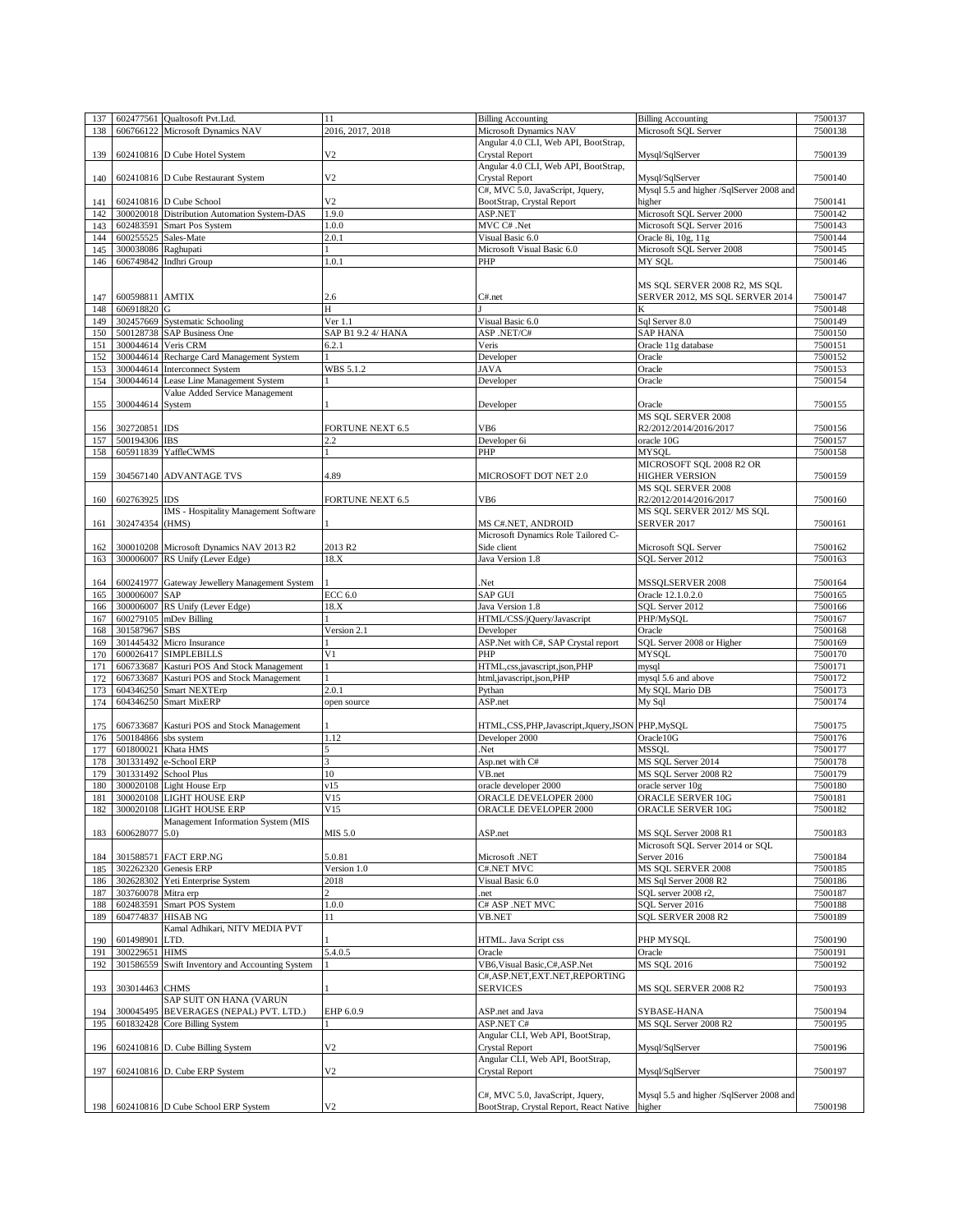| 137 |                      | 602477561 Qualtosoft Pvt.Ltd.                 | 11                      | <b>Billing Accounting</b>                                                   | <b>Billing Accounting</b>                          | 7500137 |
|-----|----------------------|-----------------------------------------------|-------------------------|-----------------------------------------------------------------------------|----------------------------------------------------|---------|
| 138 | 606766122            | Microsoft Dynamics NAV                        | 2016, 2017, 2018        | Microsoft Dynamics NAV                                                      | Microsoft SQL Server                               | 7500138 |
|     |                      |                                               |                         | Angular 4.0 CLI, Web API, BootStrap,                                        |                                                    |         |
|     |                      |                                               |                         |                                                                             |                                                    |         |
| 139 |                      | 602410816 D Cube Hotel System                 | V2                      | <b>Crystal Report</b>                                                       | Mysql/SqlServer                                    | 7500139 |
|     |                      |                                               |                         | Angular 4.0 CLI, Web API, BootStrap,                                        |                                                    |         |
| 140 |                      | 602410816 D Cube Restaurant System            | V <sub>2</sub>          | <b>Crystal Report</b>                                                       | Mysql/SqlServer                                    | 7500140 |
|     |                      |                                               |                         | C#, MVC 5.0, JavaScript, Jquery,                                            | Mysql 5.5 and higher /SqlServer 2008 and           |         |
|     |                      |                                               |                         |                                                                             |                                                    |         |
| 141 |                      | 602410816 D Cube School                       | V <sub>2</sub>          | BootStrap, Crystal Report                                                   | higher                                             | 7500141 |
| 142 |                      | 300020018 Distribution Automation System-DAS  | 1.9.0                   | ASP.NET                                                                     | Microsoft SQL Server 2000                          | 7500142 |
| 143 |                      | 602483591 Smart Pos System                    | 1.0.0                   | MVC C# .Net                                                                 | Microsoft SQL Server 2016                          | 7500143 |
| 144 | 600255525 Sales-Mate |                                               | 2.0.1                   | Visual Basic 6.0                                                            | Oracle 8i, 10g, 11g                                | 7500144 |
|     |                      |                                               |                         |                                                                             |                                                    |         |
| 145 | 300038086 Raghupati  |                                               |                         | Microsoft Visual Basic 6.0                                                  | Microsoft SQL Server 2008                          | 7500145 |
| 146 |                      | 606749842 Indhri Group                        | 1.0.1                   | PHP                                                                         | MY SOL                                             | 7500146 |
|     |                      |                                               |                         |                                                                             |                                                    |         |
|     |                      |                                               |                         |                                                                             |                                                    |         |
|     |                      |                                               |                         |                                                                             | MS SQL SERVER 2008 R2, MS SQL                      |         |
| 147 | 600598811 AMTIX      |                                               | 2.6                     | C#.net                                                                      | SERVER 2012, MS SQL SERVER 2014                    | 7500147 |
| 148 | 606918820 G          |                                               | H                       |                                                                             | K                                                  | 7500148 |
| 149 |                      | 302457669 Systematic Schooling                | Ver 1.1                 | Visual Basic 6.0                                                            | Sql Server 8.0                                     | 7500149 |
|     |                      |                                               |                         |                                                                             | <b>SAP HANA</b>                                    |         |
| 150 |                      | 500128738 SAP Business One                    | SAP B1 9.2 4/ HANA      | ASP.NET/C#                                                                  |                                                    | 7500150 |
| 151 | 300044614 Veris CRM  |                                               | 6.2.1                   | Veris                                                                       | Oracle 11g database                                | 7500151 |
| 152 |                      | 300044614 Recharge Card Management System     |                         | Developer                                                                   | Oracle                                             | 7500152 |
| 153 |                      | 300044614 Interconnect System                 | WBS 5.1.2               | <b>JAVA</b>                                                                 | Oracle                                             | 7500153 |
|     |                      |                                               |                         |                                                                             |                                                    | 7500154 |
| 154 |                      | 300044614 Lease Line Management System        |                         | Developer                                                                   | Oracle                                             |         |
|     |                      | Value Added Service Management                |                         |                                                                             |                                                    |         |
| 155 | 300044614 System     |                                               |                         | Developer                                                                   | Oracle                                             | 7500155 |
|     |                      |                                               |                         |                                                                             | MS SQL SERVER 2008                                 |         |
|     | 302720851 IDS        |                                               |                         | VB6                                                                         | R2/2012/2014/2016/2017                             | 7500156 |
| 156 |                      |                                               | FORTUNE NEXT 6.5        |                                                                             |                                                    |         |
| 157 | 500194306 IBS        |                                               | 2.2                     | Developer 6i                                                                | oracle 10G                                         | 7500157 |
| 158 |                      | 605911839 YaffleCWMS                          |                         | PHP                                                                         | <b>MYSOL</b>                                       | 7500158 |
|     |                      |                                               |                         |                                                                             | MICROSOFT SQL 2008 R2 OR                           |         |
|     |                      |                                               |                         |                                                                             |                                                    |         |
| 159 |                      | 304567140 ADVANTAGE TVS                       | 4.89                    | MICROSOFT DOT NET 2.0                                                       | <b>HIGHER VERSION</b>                              | 7500159 |
|     |                      |                                               |                         |                                                                             | MS SQL SERVER 2008                                 |         |
| 160 | 602763925 IDS        |                                               | <b>FORTUNE NEXT 6.5</b> | VB6                                                                         | R2/2012/2014/2016/2017                             | 7500160 |
|     |                      | IMS - Hospitality Management Software         |                         |                                                                             | MS SQL SERVER 2012/ MS SQL                         |         |
|     |                      |                                               |                         |                                                                             |                                                    |         |
| 161 | 302474354 (HMS)      |                                               |                         | MS C#.NET, ANDROID                                                          | <b>SERVER 2017</b>                                 | 7500161 |
|     |                      |                                               |                         | Microsoft Dynamics Role Tailored C-                                         |                                                    |         |
| 162 |                      | 300010208 Microsoft Dynamics NAV 2013 R2      | 2013 R <sub>2</sub>     | Side client                                                                 | Microsoft SQL Server                               | 7500162 |
|     |                      | 300006007 RS Unify (Lever Edge)               | 18.X                    | Java Version 1.8                                                            | SQL Server 2012                                    | 7500163 |
| 163 |                      |                                               |                         |                                                                             |                                                    |         |
|     |                      |                                               |                         |                                                                             |                                                    |         |
| 164 |                      | 600241977 Gateway Jewellery Management System |                         | Net.                                                                        | MSSQLSERVER 2008                                   | 7500164 |
| 165 | 300006007 SAP        |                                               | ECC 6.0                 | <b>SAP GUI</b>                                                              | Oracle 12.1.0.2.0                                  | 7500165 |
|     |                      |                                               |                         |                                                                             |                                                    |         |
| 166 | 300006007            | RS Unify (Lever Edge)                         | 18.X                    | Java Version 1.8                                                            | SQL Server 2012                                    | 7500166 |
| 167 | 600279105            | mDev Billing                                  |                         | HTML/CSS/jQuery/Javascript                                                  | PHP/MySQL                                          | 7500167 |
| 168 | 301587967            | <b>SBS</b>                                    | Version 2.1             | Developer                                                                   | Oracle                                             | 7500168 |
| 169 | 301445432            | Micro Insurance                               |                         | ASP.Net with C#, SAP Crystal report                                         | SQL Server 2008 or Higher                          | 7500169 |
|     |                      |                                               |                         |                                                                             |                                                    |         |
| 170 | 600026417            | <b>SIMPLEBILLS</b>                            | V <sub>1</sub>          | PHP                                                                         | MYSQL                                              | 7500170 |
| 171 | 606733687            | Kasturi POS And Stock Management              |                         | HTML,css,javascript,json,PHP                                                | mysql                                              | 7500171 |
| 172 | 606733687            | Kasturi POS and Stock Management              |                         | html,javascript,json,PHP                                                    | mysql 5.6 and above                                | 7500172 |
| 173 | 604346250            | Smart NEXTErp                                 | 2.0.1                   |                                                                             | My SQL Mario DB                                    | 7500173 |
|     |                      |                                               |                         | Pythan                                                                      |                                                    |         |
| 174 | 604346250            | <b>Smart MixERP</b>                           | open source             | ASP.net                                                                     | My Sql                                             | 7500174 |
|     |                      |                                               |                         |                                                                             |                                                    |         |
| 175 |                      | 606733687 Kasturi POS and Stock Management    |                         | HTML,CSS,PHP,Javascript,Jquery,JSON                                         | PHP, MySQL                                         | 7500175 |
|     |                      |                                               |                         |                                                                             |                                                    | 7500176 |
| 176 | 500184866            | sbs system                                    | 1.12                    | Developer 2000                                                              | Oracle10G                                          |         |
| 177 |                      | 601800021 Khata HMS                           | 5                       | Net.                                                                        | MSSOL                                              | 7500177 |
| 178 |                      | 301331492 e-School ERP                        | 3                       | Asp.net with C#                                                             | MS SQL Server 2014                                 | 7500178 |
| 179 |                      | 301331492 School Plus                         | 10                      | VB.net                                                                      | MS SQL Server 2008 R2                              | 7500179 |
|     |                      |                                               |                         |                                                                             |                                                    |         |
| 180 |                      | 300020108 Light House Erp                     | v15                     | oracle developer 2000                                                       | oracle server 10g                                  | 7500180 |
| 181 |                      | 300020108 LIGHT HOUSE ERP                     | V15                     | <b>ORACLE DEVELOPER 2000</b>                                                | ORACLE SERVER 10G                                  | 7500181 |
| 182 |                      | 300020108 LIGHT HOUSE ERP                     | V15                     | ORACLE DEVELOPER 2000                                                       | ORACLE SERVER 10G                                  | 7500182 |
|     |                      | Management Information System (MIS            |                         |                                                                             |                                                    |         |
|     |                      |                                               |                         |                                                                             |                                                    | 7500183 |
| 183 | 600628077 5.0)       |                                               | MIS 5.0                 | ASP.net                                                                     | MS SQL Server 2008 R1                              |         |
|     |                      |                                               |                         |                                                                             | Microsoft SQL Server 2014 or SQL                   |         |
| 184 |                      | 301588571 FACT ERP.NG                         | 5.0.81                  | Microsoft .NET                                                              | Server 2016                                        | 7500184 |
| 185 |                      | 302262320 Genesis ERP                         | Version 1.0             | C#.NET MVC                                                                  | MS SOL SERVER 2008                                 | 7500185 |
|     |                      | 302628302 Yeti Enterprise System              | 2018                    | Visual Basic 6.0                                                            | MS Sql Server 2008 R2                              | 7500186 |
| 186 |                      |                                               |                         |                                                                             |                                                    |         |
| 187 | 303760078 Mitra erp  |                                               | $\overline{2}$          | .net                                                                        | SQL server 2008 r2,                                | 7500187 |
| 188 | 602483591            | Smart POS System                              | 1.0.0                   | C# ASP .NET MVC                                                             | SQL Server 2016                                    | 7500188 |
| 189 |                      | 604774837 HISAB NG                            | 11                      | <b>VB.NET</b>                                                               | SQL SERVER 2008 R2                                 | 7500189 |
|     |                      |                                               |                         |                                                                             |                                                    |         |
|     |                      | Kamal Adhikari, NITV MEDIA PVT                |                         |                                                                             |                                                    |         |
| 190 | 601498901            | LTD.                                          |                         | HTML. Java Script css                                                       | PHP MYSQL                                          | 7500190 |
| 191 | 300229651            | <b>HIMS</b>                                   | 5.4.0.5                 | Oracle                                                                      | Oracle                                             | 7500191 |
| 192 | 301586559            | Swift Inventory and Accounting System         |                         | VB6, Visual Basic, C#, ASP.Net                                              | MS SQL 2016                                        | 7500192 |
|     |                      |                                               |                         |                                                                             |                                                    |         |
|     |                      |                                               |                         | C#, ASP.NET, EXT.NET, REPORTING                                             |                                                    |         |
| 193 | 303014463 CHMS       |                                               |                         | SERVICES                                                                    | MS SQL SERVER 2008 R2                              | 7500193 |
|     |                      | SAP SUIT ON HANA (VARUN                       |                         |                                                                             |                                                    |         |
| 194 |                      |                                               | EHP 6.0.9               |                                                                             |                                                    | 7500194 |
|     |                      | 300045495 BEVERAGES (NEPAL) PVT. LTD.)        |                         | ASP.net and Java                                                            | SYBASE-HANA                                        |         |
| 195 |                      | 601832428 Core Billing System                 |                         | ASP.NET C#                                                                  | MS SQL Server 2008 R2                              | 7500195 |
|     |                      |                                               |                         | Angular CLI, Web API, BootStrap,                                            |                                                    |         |
| 196 |                      | 602410816 D. Cube Billing System              | V <sub>2</sub>          | <b>Crystal Report</b>                                                       | Mysql/SqlServer                                    | 7500196 |
|     |                      |                                               |                         | Angular CLI, Web API, BootStrap,                                            |                                                    |         |
|     |                      |                                               |                         |                                                                             |                                                    |         |
| 197 |                      | 602410816 D. Cube ERP System                  | V2                      | Crystal Report                                                              | Mysql/SqlServer                                    | 7500197 |
|     |                      |                                               |                         |                                                                             |                                                    |         |
|     |                      |                                               |                         |                                                                             |                                                    |         |
|     |                      |                                               |                         |                                                                             |                                                    |         |
| 198 |                      | 602410816 D Cube School ERP System            | V2                      | C#, MVC 5.0, JavaScript, Jquery,<br>BootStrap, Crystal Report, React Native | Mysql 5.5 and higher /SqlServer 2008 and<br>higher | 7500198 |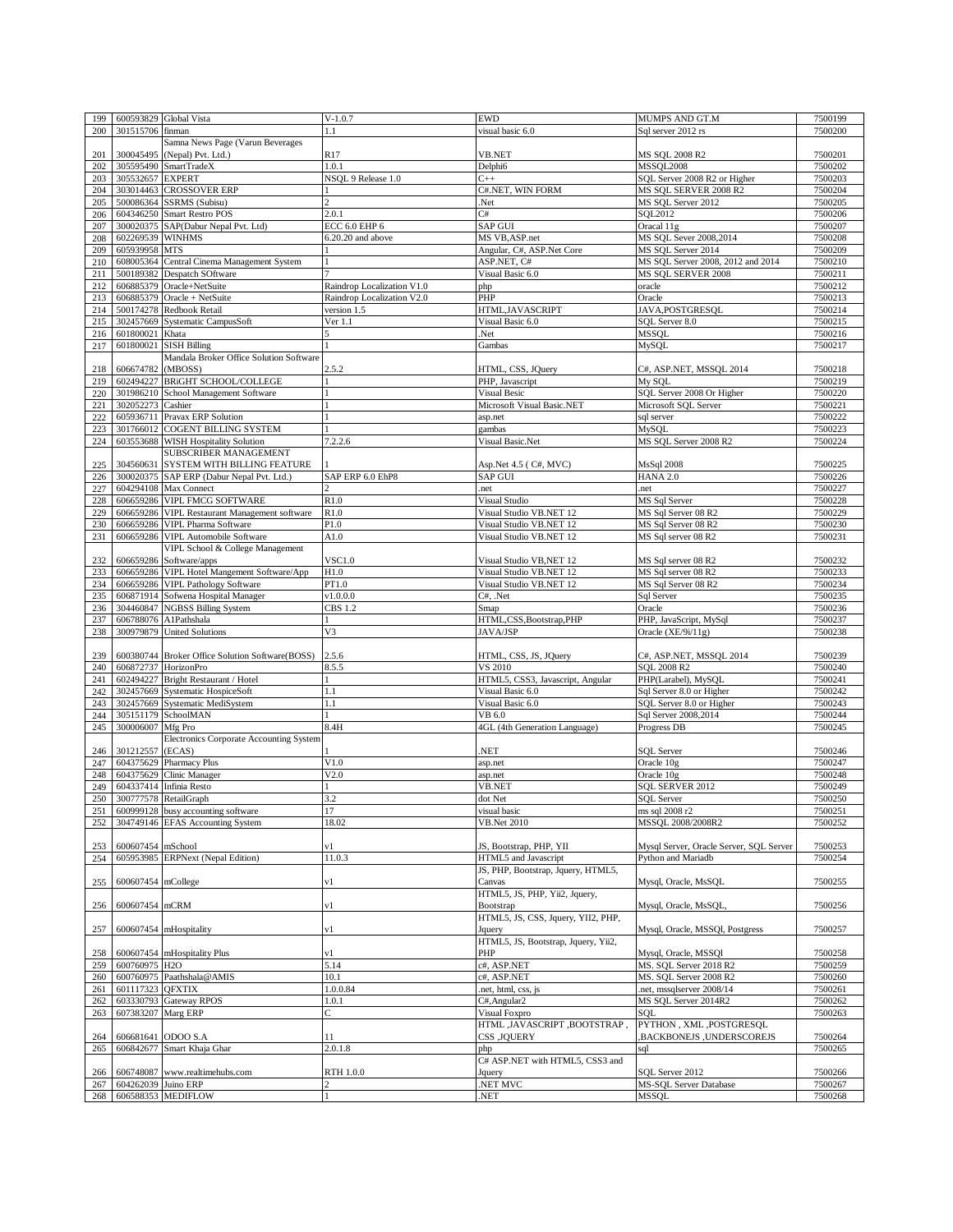| 199 |                     | 600593829 Global Vista                          | $V-1.0.7$                  | <b>EWD</b>                          | MUMPS AND GT.M                          | 7500199            |
|-----|---------------------|-------------------------------------------------|----------------------------|-------------------------------------|-----------------------------------------|--------------------|
| 200 | 301515706 finman    |                                                 | 1.1                        | visual basic 6.0                    | Sql server 2012 rs                      | 7500200            |
|     |                     | Samna News Page (Varun Beverages                |                            |                                     |                                         |                    |
|     | 300045495           | (Nepal) Pvt. Ltd.)                              |                            | VB.NET                              | MS SOL 2008 R2                          |                    |
| 201 |                     |                                                 | R <sub>17</sub>            |                                     |                                         | 7500201            |
| 202 |                     | 305595490 SmartTradeX                           | 1.0.1                      | Delphi6                             | <b>MSSOL2008</b>                        | 7500202            |
| 203 | 305532657 EXPERT    |                                                 | NSOL 9 Release 1.0         | $C++$                               | SQL Server 2008 R2 or Higher            | 7500203            |
| 204 |                     | 303014463 CROSSOVER ERP                         |                            | C#.NET, WIN FORM                    | MS SOL SERVER 2008 R2                   | 7500204            |
| 205 |                     | 500086364 SSRMS (Subisu)                        | $\overline{c}$             | Net.                                | MS SQL Server 2012                      | 7500205            |
| 206 |                     | 604346250 Smart Restro POS                      | 2.0.1                      | C#                                  | SQL2012                                 | 7500206            |
| 207 |                     | 300020375 SAP(Dabur Nepal Pvt. Ltd)             | ECC 6.0 EHP 6              | <b>SAP GUI</b>                      | Oracal 11g                              | 7500207            |
| 208 | 602269539 WINHMS    |                                                 | 6.20.20 and above          | MS VB, ASP.net                      | MS SQL Sever 2008,2014                  | 7500208            |
|     |                     |                                                 |                            |                                     |                                         |                    |
| 209 | 605939958 MTS       |                                                 |                            | Angular, C#, ASP.Net Core           | MS SQL Server 2014                      | 7500209            |
| 210 |                     | 608005364 Central Cinema Management System      |                            | ASP.NET, C#                         | MS SQL Server 2008, 2012 and 2014       | 7500210            |
| 211 |                     | 500189382 Despatch SOftware                     |                            | Visual Basic 6.0                    | MS SOL SERVER 2008                      | 7500211            |
| 212 |                     | 606885379 Oracle+NetSuite                       | Raindrop Localization V1.0 | php                                 | oracle                                  | 7500212            |
| 213 |                     | $606885379$ Oracle + NetSuite                   | Raindrop Localization V2.0 | PHP                                 | Oracle                                  | 7500213            |
| 214 |                     | 500174278 Redbook Retail                        | version 1.5                | HTML, JAVASCRIPT                    | JAVA, POSTGRESQL                        | 7500214            |
| 215 |                     | 302457669 Systematic CampusSoft                 | Ver 1.1                    | Visual Basic 6.0                    | SQL Server 8.0                          | 7500215            |
|     |                     |                                                 |                            |                                     |                                         |                    |
| 216 | 601800021 Khata     |                                                 |                            | Net.                                | <b>MSSQL</b>                            | 7500216            |
| 217 |                     | 601800021 SISH Billing                          |                            | Gambas                              | MySQL                                   | 7500217            |
|     |                     | Mandala Broker Office Solution Software         |                            |                                     |                                         |                    |
| 218 | 606674782 (MBOSS)   |                                                 | 2.5.2                      | HTML, CSS, JQuery                   | C#, ASP.NET, MSSQL 2014                 | 7500218            |
| 219 |                     | 602494227 BRiGHT SCHOOL/COLLEGE                 |                            | PHP, Javascript                     | My SOL                                  | 7500219            |
| 220 |                     | 301986210 School Management Software            |                            | <b>Visual Besic</b>                 | SQL Server 2008 Or Higher               | 7500220            |
| 221 | 302052273 Cashier   |                                                 |                            | Microsoft Visual Basic.NET          | Microsoft SQL Server                    | 7500221            |
|     |                     |                                                 |                            |                                     |                                         |                    |
| 222 |                     | 605936711 Pravax ERP Solution                   |                            | asp.net                             | sql server                              | 7500222            |
| 223 |                     | 301766012 COGENT BILLING SYSTEM                 |                            | gambas                              | MySQL                                   | 7500223            |
| 224 |                     | 603553688 WISH Hospitality Solution             | 7.2.2.6                    | Visual Basic.Net                    | MS SQL Server 2008 R2                   | 7500224            |
|     |                     | SUBSCRIBER MANAGEMENT                           |                            |                                     |                                         |                    |
| 225 |                     | 304560631 SYSTEM WITH BILLING FEATURE           |                            | Asp.Net 4.5 ( C#, MVC)              | <b>MsSql 2008</b>                       | 7500225            |
| 226 |                     | 300020375 SAP ERP (Dabur Nepal Pvt. Ltd.)       | SAP ERP 6.0 EhP8           | SAP GUI                             | <b>HANA 2.0</b>                         | 7500226            |
| 227 |                     | 604294108 Max Connect                           |                            | net.                                | net.                                    | 7500227            |
|     |                     |                                                 |                            |                                     |                                         |                    |
| 228 |                     | 606659286 VIPL FMCG SOFTWARE                    | R1.0                       | Visual Studio                       | MS Sql Server                           | 7500228            |
| 229 |                     | 606659286 VIPL Restaurant Management software   | R1.0                       | Visual Studio VB.NET 12             | MS Sql Server 08 R2                     | 7500229            |
| 230 |                     | 606659286 VIPL Pharma Software                  | P1.0                       | Visual Studio VB.NET 12             | MS Sql Server 08 R2                     | 7500230            |
| 231 |                     | 606659286 VIPL Automobile Software              | A1.0                       | Visual Studio VB.NET 12             | MS Sql server 08 R2                     | 7500231            |
|     |                     | VIPL School & College Management                |                            |                                     |                                         |                    |
| 232 |                     | 606659286 Software/apps                         | <b>VSC1.0</b>              | Visual Studio VB, NET 12            | MS Sql server 08 R2                     | 7500232            |
|     |                     | 606659286 VIPL Hotel Mangement Software/App     | H1.0                       | Visual Studio VB.NET 12             | MS Sql server 08 R2                     | 7500233            |
| 233 |                     |                                                 |                            |                                     |                                         |                    |
| 234 |                     | 606659286 VIPL Pathology Software               | PT1.0                      | Visual Studio VB.NET 12             | MS Sql Server 08 R2                     | 7500234            |
| 235 |                     | 606871914 Sofwena Hospital Manager              | v1.0.0.0                   | C#, .Net                            | Sql Server                              | 7500235            |
| 236 |                     | 304460847 NGBSS Billing System                  | CBS 1.2                    | Smap                                | Oracle                                  | 7500236            |
| 237 |                     | 606788076 A1Pathshala                           |                            | HTML,CSS,Bootstrap,PHP              | PHP, JavaScript, MySql                  | 7500237            |
| 238 |                     | 300979879 United Solutions                      | V3                         | JAVA/JSP                            | Oracle $(XE/9i/11g)$                    | 7500238            |
|     |                     |                                                 |                            |                                     |                                         |                    |
| 239 |                     | 600380744 Broker Office Solution Software(BOSS) | 2.5.6                      | HTML, CSS, JS, JQuery               | C#, ASP.NET, MSSQL 2014                 | 7500239            |
|     |                     |                                                 |                            |                                     |                                         |                    |
| 240 |                     | 606872737 HorizonPro                            | 8.5.5                      | VS 2010                             | SOL 2008 R2                             | 7500240            |
| 241 |                     | 602494227 Bright Restaurant / Hotel             |                            | HTML5, CSS3, Javascript, Angular    | PHP(Larabel), MySQL                     | 7500241            |
| 242 |                     | 302457669 Systematic HospiceSoft                | 1.1                        | Visual Basic 6.0                    | Sql Server 8.0 or Higher                | 7500242            |
| 243 |                     | 302457669 Systematic MediSystem                 | 1.1                        | Visual Basic 6.0                    | SQL Server 8.0 or Higher                | 7500243            |
| 244 |                     | 305151179 SchoolMAN                             |                            | VB 6.0                              | Sql Server 2008,2014                    |                    |
| 245 | 300006007 Mfg Pro   |                                                 |                            |                                     |                                         | 7500244            |
|     |                     |                                                 |                            |                                     |                                         |                    |
| 246 |                     |                                                 | 8.4H                       | 4GL (4th Generation Language)       | Progress DB                             | 7500245            |
|     |                     | Electronics Corporate Accounting System         |                            |                                     |                                         |                    |
|     | 301212557 (ECAS)    |                                                 |                            | NET.                                | <b>SQL Server</b>                       | 7500246            |
| 247 |                     | 604375629 Pharmacy Plus                         | V1.0                       | asp.net                             | Oracle 10g                              | 7500247            |
| 248 |                     | 604375629 Clinic Manager                        | V2.0                       | asp.net                             | Oracle 10g                              | 7500248            |
| 249 |                     | 604337414 Infinia Resto                         |                            | VB.NET                              | SQL SERVER 2012                         | 7500249            |
| 250 |                     | 300777578 RetailGraph                           | 3.2                        | dot Net                             | SQL Server                              | 7500250            |
|     |                     | 600999128 busy accounting software              | 17                         |                                     |                                         |                    |
| 251 |                     |                                                 | 18.02                      | visual basic                        | ms sql 2008 r2<br>MSSOL 2008/2008R2     | 7500251<br>7500252 |
| 252 |                     | 304749146 EFAS Accounting System                |                            | <b>VB.Net 2010</b>                  |                                         |                    |
|     |                     |                                                 |                            |                                     |                                         |                    |
| 253 | 600607454 mSchool   |                                                 | v1                         | JS, Bootstrap, PHP, YII             | Mysql Server, Oracle Server, SQL Server | 7500253            |
| 254 |                     | 605953985 ERPNext (Nepal Edition)               | 11.0.3                     | HTML5 and Javascript                | Python and Mariadb                      | 7500254            |
|     |                     |                                                 |                            | JS, PHP, Bootstrap, Jquery, HTML5,  |                                         |                    |
| 255 | 600607454 mCollege  |                                                 | v1                         | Canvas                              | Mysql, Oracle, MsSQL                    | 7500255            |
|     |                     |                                                 |                            | HTML5, JS, PHP, Yii2, Jquery,       |                                         |                    |
|     | 600607454 mCRM      |                                                 | v1                         |                                     |                                         |                    |
| 256 |                     |                                                 |                            | Bootstrap                           | Mysql, Oracle, MsSQL,                   | 7500256            |
|     |                     |                                                 |                            | HTML5, JS, CSS, Jquery, YII2, PHP,  |                                         |                    |
| 257 |                     | 600607454 mHospitality                          | v1                         | Jquery                              | Mysql, Oracle, MSSQl, Postgress         | 7500257            |
|     |                     |                                                 |                            | HTML5, JS, Bootstrap, Jquery, Yii2, |                                         |                    |
| 258 |                     | 600607454 mHospitality Plus                     | v1                         | PHP                                 | Mysql, Oracle, MSSQl                    | 7500258            |
| 259 | 600760975 H2O       |                                                 | 5.14                       | c#, ASP.NET                         | MS. SQL Server 2018 R2                  | 7500259            |
| 260 |                     | 600760975 Paathshala@AMIS                       | 10.1                       | c#, ASP.NET                         | MS. SQL Server 2008 R2                  | 7500260            |
|     |                     |                                                 |                            |                                     |                                         |                    |
| 261 | 601117323 QFXTIX    |                                                 | 1.0.0.84                   | net, html, css, js.                 | net, mssqlserver 2008/14                | 7500261            |
| 262 |                     | 603330793 Gateway RPOS                          | 1.0.1                      | C#, Angular2                        | MS SQL Server 2014R2                    | 7500262            |
| 263 | 607383207 Marg ERP  |                                                 | Ċ                          | Visual Foxpro                       | SOL                                     | 7500263            |
|     |                     |                                                 |                            | HTML, JAVASCRIPT, BOOTSTRAP,        | PYTHON, XML, POSTGRESQL                 |                    |
| 264 |                     | 606681641 ODOO S.A                              | 11                         | <b>CSS , JQUERY</b>                 | ,BACKBONEJS, UNDERSCOREJS               | 7500264            |
| 265 |                     | 606842677 Smart Khaja Ghar                      | 2.0.1.8                    | php                                 | sql                                     | 7500265            |
|     |                     |                                                 |                            | C# ASP.NET with HTML5, CSS3 and     |                                         |                    |
|     |                     |                                                 | RTH 1.0.0                  |                                     |                                         | 7500266            |
| 266 |                     | 606748087 www.realtimehubs.com                  |                            | Jquery                              | SQL Server 2012                         |                    |
| 267 | 604262039 Juino ERP | 268 606588353 MEDIFLOW                          | $\overline{c}$             | NET MVC<br>NET.                     | MS-SQL Server Database<br><b>MSSQL</b>  | 7500267<br>7500268 |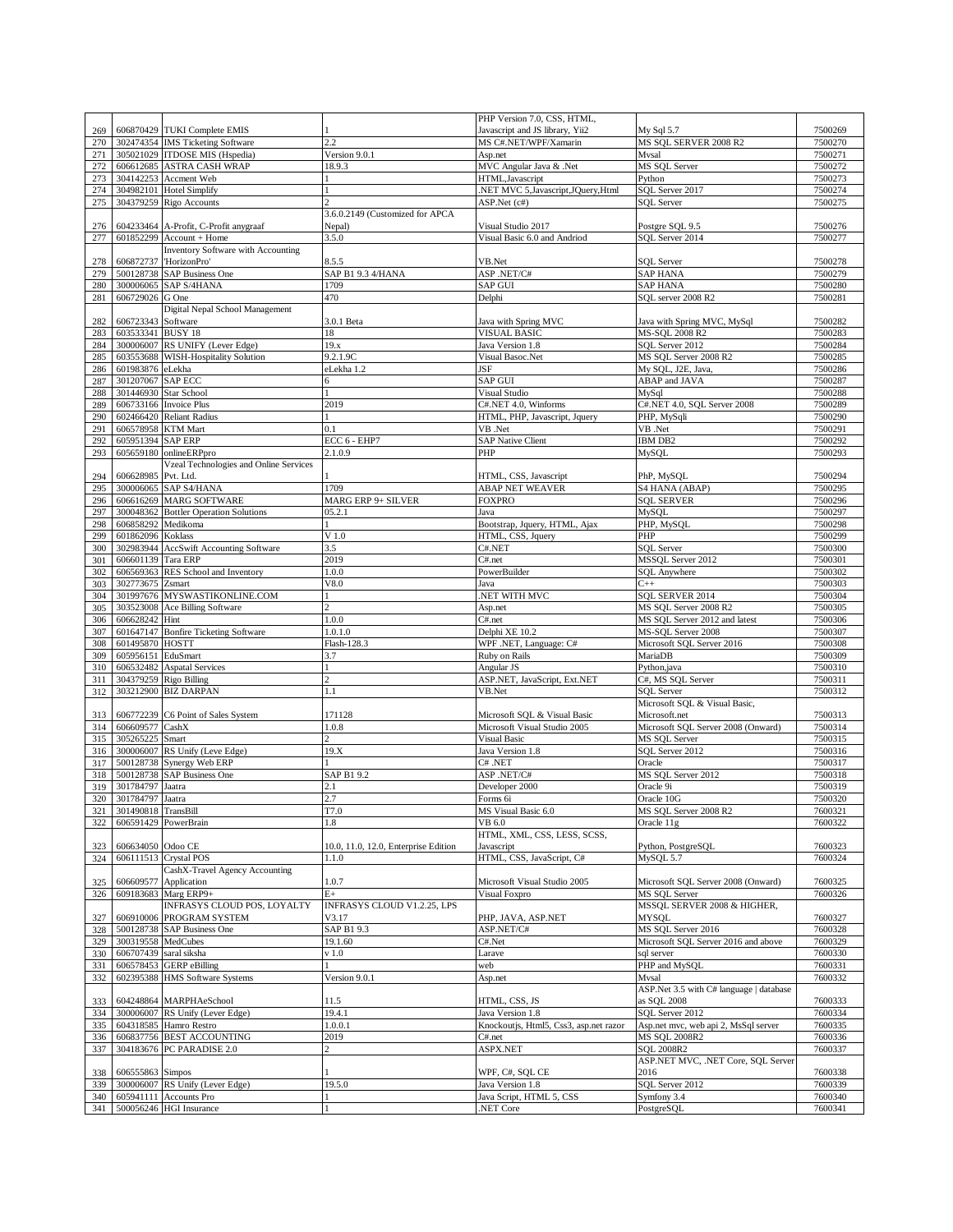| 269        |                                         | 606870429 TUKI Complete EMIS                                     |                                      | PHP Version 7.0, CSS, HTML,<br>Javascript and JS library, Yii2 | My Sql 5.7                                           | 7500269            |
|------------|-----------------------------------------|------------------------------------------------------------------|--------------------------------------|----------------------------------------------------------------|------------------------------------------------------|--------------------|
| 270        |                                         | 302474354 IMS Ticketing Software                                 | 2.2                                  | MS C#.NET/WPF/Xamarin                                          | MS SQL SERVER 2008 R2                                | 7500270            |
| 271        |                                         | 305021029 ITDOSE MIS (Hspedia)                                   | Version 9.0.1                        | Asp.net                                                        | Mvsal                                                | 7500271            |
| 272        |                                         | 606612685 ASTRA CASH WRAP                                        | 18.9.3                               | MVC Angular Java & .Net                                        | MS SQL Server                                        | 7500272            |
| 273        | 304142253                               | Accment Web                                                      |                                      | HTML, Javascript                                               | Python                                               | 7500273            |
| 274        |                                         | 304982101 Hotel Simplify                                         |                                      | .NET MVC 5, Javascript, JQuery, Html                           | SQL Server 2017                                      | 7500274            |
| 275        |                                         | 304379259 Rigo Accounts                                          | 3.6.0.2149 (Customized for APCA      | ASP.Net (c#)                                                   | <b>SOL</b> Server                                    | 7500275            |
| 276        |                                         | 604233464 A-Profit, C-Profit anygraaf                            | Nepal)                               | Visual Studio 2017                                             | Postgre SQL 9.5                                      | 7500276            |
| 277        |                                         | $601852299$ Account + Home                                       | 3.5.0                                | Visual Basic 6.0 and Andriod                                   | SQL Server 2014                                      | 7500277            |
|            |                                         | Inventory Software with Accounting                               |                                      |                                                                |                                                      |                    |
| 278        | 606872737                               | 'HorizonPro'                                                     | 8.5.5                                | VB.Net                                                         | <b>SQL Server</b>                                    | 7500278            |
| 279        | 500128738                               | <b>SAP Business One</b>                                          | SAP B1 9.3 4/HANA                    | ASP.NET/C#                                                     | <b>SAP HANA</b>                                      | 7500279            |
| 280        |                                         | 300006065 SAP S/4HANA                                            | 1709                                 | <b>SAP GUI</b>                                                 | <b>SAP HANA</b>                                      | 7500280            |
| 281        | 606729026 G One                         |                                                                  | 470                                  | Delphi                                                         | SQL server 2008 R2                                   | 7500281            |
|            |                                         | Digital Nepal School Management                                  |                                      |                                                                |                                                      |                    |
| 282<br>283 | 606723343 Software<br>603533341 BUSY 18 |                                                                  | 3.0.1 Beta<br>18                     | Java with Spring MVC<br><b>VISUAL BASIC</b>                    | Java with Spring MVC, MySql<br><b>MS-SQL 2008 R2</b> | 7500282<br>7500283 |
| 284        |                                         | 300006007 RS UNIFY (Lever Edge)                                  | 19.x                                 | Java Version 1.8                                               | SQL Server 2012                                      | 7500284            |
| 285        |                                         | 603553688 WISH-Hospitality Solution                              | 9.2.1.9C                             | Visual Basoc.Net                                               | MS SQL Server 2008 R2                                | 7500285            |
| 286        | 601983876 eLekha                        |                                                                  | eLekha 1.2                           | <b>JSF</b>                                                     | My SQL, J2E, Java,                                   | 7500286            |
| 287        | 301207067 SAP ECC                       |                                                                  |                                      | <b>SAP GUI</b>                                                 | ABAP and JAVA                                        | 7500287            |
| 288        | 301446930 Star School                   |                                                                  |                                      | Visual Studio                                                  | MySql                                                | 7500288            |
| 289        |                                         | 606733166 Invoice Plus                                           | 2019                                 | C#.NET 4.0, Winforms                                           | C#.NET 4.0, SQL Server 2008                          | 7500289            |
| 290        |                                         | 602466420 Reliant Radius                                         |                                      | HTML, PHP, Javascript, Jquery                                  | PHP, MySqli                                          | 7500290            |
| 291        | 606578958 KTM Mart                      |                                                                  | 0.1                                  | VB .Net                                                        | VB .Net                                              | 7500291            |
| 292        | 605951394 SAP ERP                       |                                                                  | ECC 6 - EHP7                         | <b>SAP Native Client</b>                                       | IBM DB2                                              | 7500292            |
| 293        |                                         | 605659180 onlineERPpro<br>Vzeal Technologies and Online Services | 2.1.0.9                              | PHP                                                            | MySQL                                                | 7500293            |
| 294        | 606628985 Pvt. Ltd.                     |                                                                  |                                      | HTML, CSS, Javascript                                          | PhP, MySQL                                           | 7500294            |
| 295        |                                         | 300006065 SAP S4/HANA                                            | 1709                                 | <b>ABAP NET WEAVER</b>                                         | S4 HANA (ABAP)                                       | 7500295            |
| 296        |                                         | 606616269 MARG SOFTWARE                                          | <b>MARG ERP 9+ SILVER</b>            | <b>FOXPRO</b>                                                  | <b>SQL SERVER</b>                                    | 7500296            |
| 297        | 300048362                               | <b>Bottler Operation Solutions</b>                               | 05.2.1                               | Java                                                           | MySOL                                                | 7500297            |
| 298        | 606858292                               | Medikoma                                                         | 1.                                   | Bootstrap, Jquery, HTML, Ajax                                  | PHP, MySQL                                           | 7500298            |
| 299        | 601862096                               | Koklass                                                          | $V$ 1.0                              | HTML, CSS, Jquery                                              | PHP                                                  | 7500299            |
| 300        |                                         | 302983944 AccSwift Accounting Software                           | 3.5                                  | C#.NET                                                         | <b>SQL Server</b>                                    | 7500300            |
| 301        | 606601139 Tara ERP                      |                                                                  | 2019                                 | C#.net                                                         | MSSQL Server 2012                                    | 7500301            |
| 302        |                                         | 606569363 RES School and Inventory                               | 1.0.0<br>V8.0                        | PowerBuilder                                                   | <b>SQL</b> Anywhere<br>$C++$                         | 7500302<br>7500303 |
| 303<br>304 | 302773675 Zsmart                        | 301997676 MYSWASTIKONLINE.COM                                    |                                      | Java<br>NET WITH MVC.                                          | SQL SERVER 2014                                      | 7500304            |
| 305        |                                         | 303523008 Ace Billing Software                                   | $\overline{c}$                       | Asp.net                                                        | MS SQL Server 2008 R2                                | 7500305            |
| 306        | 606628242 Hint                          |                                                                  | 1.0.0                                | C#.net                                                         | MS SQL Server 2012 and latest                        | 7500306            |
| 307        | 601647147                               | <b>Bonfire Ticketing Software</b>                                | 1.0.1.0                              | Delphi XE 10.2                                                 | MS-SOL Server 2008                                   | 7500307            |
| 308        | 601495870 HOSTT                         |                                                                  | Flash-128.3                          | WPF .NET, Language: C#                                         | Microsoft SQL Server 2016                            | 7500308            |
| 309        | 605956151 EduSmart                      |                                                                  | 3.7                                  | Ruby on Rails                                                  | MariaDB                                              | 7500309            |
| 310        | 606532482                               | <b>Aspatal Services</b>                                          |                                      | Angular JS                                                     | Python, java                                         | 7500310            |
| 311        |                                         | 304379259 Rigo Billing                                           | <sup>2</sup>                         | ASP.NET, JavaScript, Ext.NET                                   | C#, MS SQL Server                                    | 7500311            |
| 312        |                                         | 303212900 BIZ DARPAN                                             | 1.1                                  | VB.Net                                                         | <b>SOL Server</b>                                    | 7500312            |
|            |                                         | 606772239 C6 Point of Sales System                               |                                      | Microsoft SQL & Visual Basic                                   | Microsoft SQL & Visual Basic,<br>Microsoft.net       |                    |
| 313<br>314 | 606609577                               | CashX                                                            | 171128<br>1.0.8                      | Microsoft Visual Studio 2005                                   | Microsoft SQL Server 2008 (Onward)                   | 7500313<br>7500314 |
| 315        | 305265225                               | Smart                                                            | C.                                   | <b>Visual Basic</b>                                            | MS SQL Server                                        | 7500315            |
| 316        |                                         | 300006007 RS Unify (Leve Edge)                                   | 19.X                                 | Java Version 1.8                                               | SQL Server 2012                                      | 7500316            |
| 317        |                                         | 500128738 Synergy Web ERP                                        | $\mathbf{1}$                         | $C#$ .NET                                                      | Oracle                                               | 7500317            |
| 318        |                                         | 500128738 SAP Business One                                       | SAP B1 9.2                           | ASP.NET/C#                                                     | MS SQL Server 2012                                   | 7500318            |
| 319        | 301784797 Jaatra                        |                                                                  | 2.1                                  | Developer 2000                                                 | Oracle 9i                                            | 7500319            |
| 320        | 301784797                               | Jaatra                                                           | 2.7                                  | Forms 6i                                                       | Oracle 10G                                           | 7500320            |
| 321        | 301490818 TransBill                     |                                                                  | T7.0                                 | MS Visual Basic 6.0                                            | MS SQL Server 2008 R2                                | 7600321            |
| 322        | 606591429 PowerBrain                    |                                                                  | 1.8                                  | VB 6.0<br>HTML, XML, CSS, LESS, SCSS,                          | Oracle 11g                                           | 7600322            |
| 323        | 606634050 Odoo CE                       |                                                                  | 10.0, 11.0, 12.0, Enterprise Edition | Javascript                                                     | Python, PostgreSQL                                   | 7600323            |
| 324        |                                         | 606111513 Crystal POS                                            | 1.1.0                                | HTML, CSS, JavaScript, C#                                      | MySQL 5.7                                            | 7600324            |
|            |                                         | CashX-Travel Agency Accounting                                   |                                      |                                                                |                                                      |                    |
| 325        |                                         | 606609577 Application                                            | 1.0.7                                | Microsoft Visual Studio 2005                                   | Microsoft SQL Server 2008 (Onward)                   | 7600325            |
| 326        | 609183683                               | Marg ERP9+                                                       | $E+$                                 | Visual Foxpro                                                  | MS SQL Server                                        | 7600326            |
|            |                                         | INFRASYS CLOUD POS, LOYALTY                                      | INFRASYS CLOUD V1.2.25, LPS          |                                                                | MSSQL SERVER 2008 & HIGHER,                          |                    |
| 327        |                                         | 606910006 PROGRAM SYSTEM                                         | V3.17                                | PHP, JAVA, ASP.NET                                             | <b>MYSOL</b>                                         | 7600327            |
| 328        | 500128738                               | <b>SAP Business One</b>                                          | SAP B1 9.3                           | ASP.NET/C#                                                     | MS SQL Server 2016                                   | 7600328            |
| 329        | 300319558<br>606707439                  | MedCubes<br>saral siksha                                         | 19.1.60<br>v1.0                      | C#.Net<br>Larave                                               | Microsoft SQL Server 2016 and above<br>sql server    | 7600329<br>7600330 |
| 330<br>331 |                                         | 606578453 GERP eBilling                                          |                                      | web                                                            | PHP and MySQL                                        | 7600331            |
| 332        |                                         | 602395388 HMS Software Systems                                   | Version 9.0.1                        | Asp.net                                                        | Mvsal                                                | 7600332            |
|            |                                         |                                                                  |                                      |                                                                | ASP.Net 3.5 with C# language   database              |                    |
| 333        |                                         | 604248864 MARPHAeSchool                                          | 11.5                                 | HTML, CSS, JS                                                  | as SQL 2008                                          | 7600333            |
| 334        | 300006007                               | RS Unify (Lever Edge)                                            | 19.4.1                               | Java Version 1.8                                               | SQL Server 2012                                      | 7600334            |
| 335        |                                         | 604318585 Hamro Restro                                           | 1.0.0.1                              | Knockoutjs, Html5, Css3, asp.net razor                         | Asp.net mvc, web api 2, MsSql server                 | 7600335            |
| 336        |                                         | 606837756 BEST ACCOUNTING                                        | 2019                                 | C#.net                                                         | MS SQL 2008R2                                        | 7600336            |
| 337        |                                         | 304183676 PC PARADISE 2.0                                        |                                      | ASPX.NET                                                       | <b>SOL 2008R2</b>                                    | 7600337            |
|            | 606555863 Simpos                        |                                                                  |                                      | WPF, C#, SQL CE                                                | ASP.NET MVC, .NET Core, SQL Server<br>2016           | 7600338            |
| 338<br>339 | 300006007                               | RS Unify (Lever Edge)                                            | 19.5.0                               | Java Version 1.8                                               | SQL Server 2012                                      | 7600339            |
| 340        |                                         | 605941111 Accounts Pro                                           |                                      | Java Script, HTML 5, CSS                                       | Symfony 3.4                                          | 7600340            |
| 341        |                                         | 500056246 HGI Insurance                                          |                                      | NET Core                                                       | PostgreSQL                                           | 7600341            |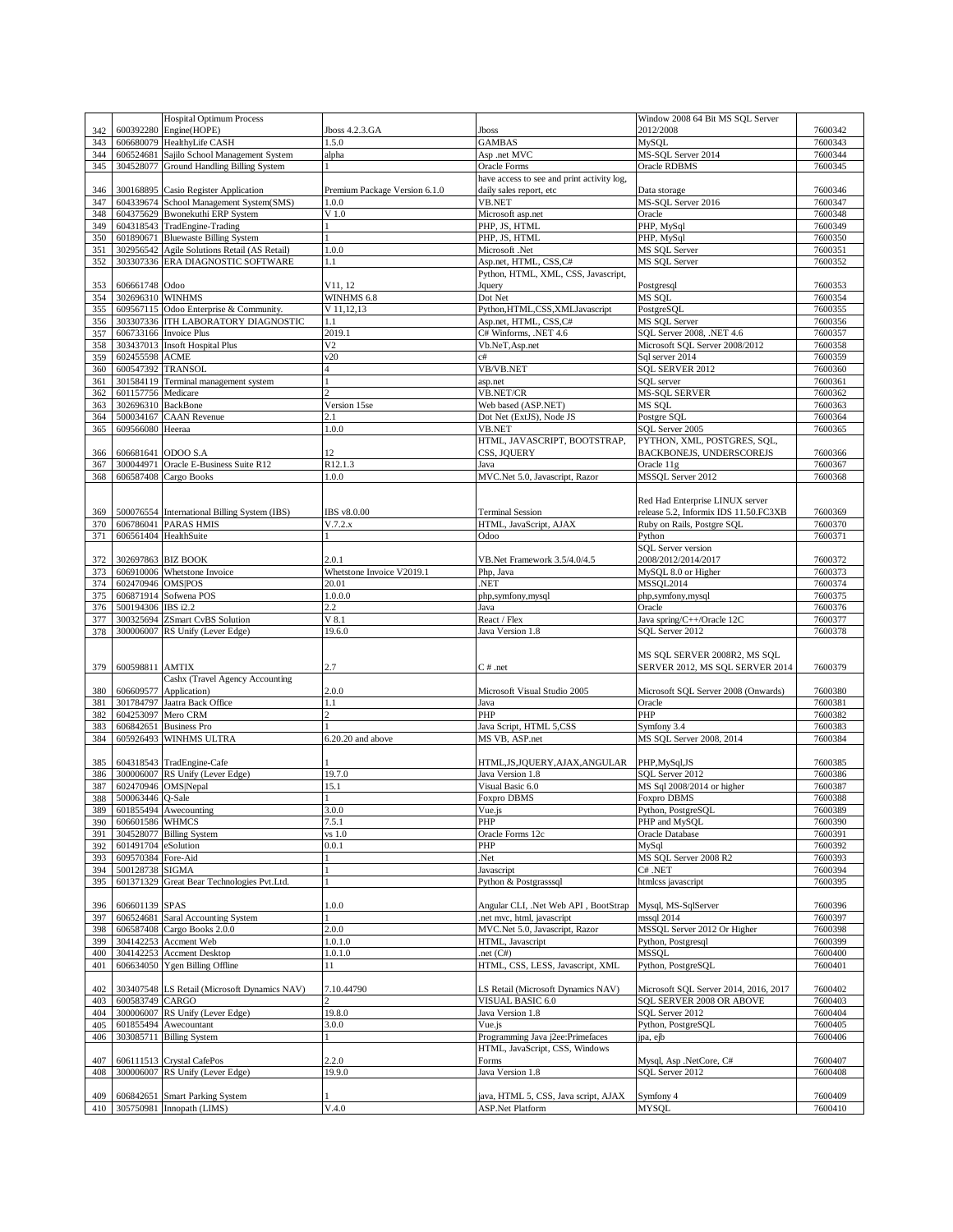|            |                     | <b>Hospital Optimum Process</b>                             |                               |                                                                       | Window 2008 64 Bit MS SQL Server              |                    |
|------------|---------------------|-------------------------------------------------------------|-------------------------------|-----------------------------------------------------------------------|-----------------------------------------------|--------------------|
| 342        |                     | 600392280 Engine(HOPE)                                      | Jboss 4.2.3.GA                | Jboss                                                                 | 2012/2008                                     | 7600342            |
| 343        |                     | 606680079 HealthyLife CASH                                  | 1.5.0                         | <b>GAMBAS</b>                                                         | MySOL                                         | 7600343            |
| 344        |                     | 606524681 Sajilo School Management System                   | alpha                         | Asp .net MVC                                                          | MS-SQL Server 2014                            | 7600344            |
| 345        |                     | 304528077 Ground Handling Billing System                    |                               | Oracle Forms                                                          | <b>Oracle RDBMS</b>                           | 7600345            |
| 346        |                     | 300168895 Casio Register Application                        | Premium Package Version 6.1.0 | have access to see and print activity log,<br>daily sales report, etc |                                               | 7600346            |
| 347        |                     | 604339674 School Management System(SMS)                     | 1.0.0                         | <b>VB.NET</b>                                                         | Data storage<br>MS-SQL Server 2016            | 7600347            |
| 348        | 604375629           | <b>Bwonekuthi ERP System</b>                                | $V$ 1.0                       | Microsoft asp.net                                                     | Oracle                                        | 7600348            |
| 349        |                     | 604318543 TradEngine-Trading                                |                               | PHP, JS, HTML                                                         | PHP, MySql                                    | 7600349            |
| 350        |                     | 601890671 Bluewaste Billing System                          |                               | PHP, JS, HTML                                                         | PHP, MySql                                    | 7600350            |
| 351        | 302956542           | Agile Solutions Retail (AS Retail)                          | 1.0.0                         | Microsoft .Net                                                        | MS SQL Server                                 | 7600351            |
| 352        |                     | 303307336 ERA DIAGNOSTIC SOFTWARE                           | 1.1                           | Asp.net, HTML, CSS,C#                                                 | <b>MS SQL Server</b>                          | 7600352            |
|            |                     |                                                             |                               | Python, HTML, XML, CSS, Javascript,                                   |                                               |                    |
| 353        | 606661748 Odoo      |                                                             | V11, 12                       | Jquery                                                                | Postgresql                                    | 7600353            |
| 354        | 302696310 WINHMS    |                                                             | WINHMS 6.8                    | Dot Net                                                               | MS SQL                                        | 7600354            |
| 355        |                     | 609567115 Odoo Enterprise & Community.                      | V 11, 12, 13                  | Python, HTML, CSS, XML Javascript                                     | PostgreSOL                                    | 7600355            |
| 356        |                     | 303307336 ITH LABORATORY DIAGNOSTIC                         | 1.1                           | Asp.net, HTML, CSS,C#                                                 | <b>MS SQL Server</b>                          | 7600356            |
| 357        |                     | 606733166 Invoice Plus                                      | 2019.1                        | C# Winforms, .NET 4.6                                                 | SQL Server 2008, .NET 4.6                     | 7600357            |
| 358        |                     | 303437013 Insoft Hospital Plus                              | V <sub>2</sub>                | Vb.NeT, Asp.net                                                       | Microsoft SQL Server 2008/2012                | 7600358            |
| 359        | 602455598 ACME      |                                                             | v20                           | c#                                                                    | Sql server 2014                               | 7600359            |
| 360        | 600547392           | <b>TRANSOL</b>                                              | $\overline{4}$                | VB/VB.NET                                                             | SQL SERVER 2012                               | 7600360            |
| 361        |                     | 301584119 Terminal management system                        |                               | asp.net                                                               | SQL server                                    | 7600361            |
| 362        | 601157756           | Medicare                                                    | $\overline{c}$                | <b>VB.NET/CR</b>                                                      | <b>MS-SQL SERVER</b>                          | 7600362            |
| 363        | 302696310 BackBone  |                                                             | Version 15se                  | Web based (ASP.NET)                                                   | MS SQL                                        | 7600363            |
| 364        |                     | 500034167 CAAN Revenue                                      | 2.1                           | Dot Net (ExtJS), Node JS                                              | Postgre SQL                                   | 7600364            |
| 365        | 609566080 Heeraa    |                                                             | 1.0.0                         | <b>VB.NET</b>                                                         | SQL Server 2005                               | 7600365            |
|            |                     |                                                             |                               | HTML, JAVASCRIPT, BOOTSTRAP,                                          | PYTHON, XML, POSTGRES, SQL,                   |                    |
| 366<br>367 |                     | 606681641 ODOO S.A<br>300044971 Oracle E-Business Suite R12 | 12<br>R12.1.3                 | CSS, JOUERY<br>Java                                                   | BACKBONEJS, UNDERSCOREJS<br>Oracle 11g        | 7600366<br>7600367 |
| 368        | 606587408           | Cargo Books                                                 | 1.0.0                         | MVC.Net 5.0, Javascript, Razor                                        | MSSQL Server 2012                             | 7600368            |
|            |                     |                                                             |                               |                                                                       |                                               |                    |
|            |                     |                                                             |                               |                                                                       | Red Had Enterprise LINUX server               |                    |
| 369        |                     | 500076554 International Billing System (IBS)                | IBS v8.0.00                   | <b>Terminal Session</b>                                               | release 5.2, Informix IDS 11.50.FC3XB         | 7600369            |
| 370        |                     | 606786041 PARAS HMIS                                        | V.7.2.x                       | HTML, JavaScript, AJAX                                                | Ruby on Rails, Postgre SQL                    | 7600370            |
| 371        |                     | 606561404 HealthSuite                                       |                               | Odoo                                                                  | Python                                        | 7600371            |
|            |                     |                                                             |                               |                                                                       | <b>SQL</b> Server version                     |                    |
| 372        |                     | 302697863 BIZ BOOK                                          | 2.0.1                         | VB.Net Framework 3.5/4.0/4.5                                          | 2008/2012/2014/2017                           | 7600372            |
| 373        |                     | 606910006 Whetstone Invoice                                 | Whetstone Invoice V2019.1     | Php, Java                                                             | MySQL 8.0 or Higher                           | 7600373            |
| 374        | 602470946 OMS POS   |                                                             | 20.01                         | .NET                                                                  | <b>MSSQL2014</b>                              | 7600374            |
| 375        |                     | 606871914 Sofwena POS                                       | 1.0.0.0                       | php,symfony,mysql                                                     | php,symfony,mysql                             | 7600375            |
| 376        | 500194306           | IBS i2.2                                                    | $2.2\,$                       | Java                                                                  | Oracle                                        | 7600376            |
| 377        |                     | 300325694 ZSmart CvBS Solution                              | $V$ 8.1                       | React / Flex                                                          | Java spring/C++/Oracle 12C                    | 7600377            |
|            |                     |                                                             |                               |                                                                       |                                               |                    |
| 378        |                     | 300006007 RS Unify (Lever Edge)                             | 19.6.0                        | Java Version 1.8                                                      | SQL Server 2012                               | 7600378            |
|            |                     |                                                             |                               |                                                                       |                                               |                    |
|            |                     |                                                             |                               |                                                                       | MS SQL SERVER 2008R2, MS SQL                  |                    |
| 379        | 600598811 AMTIX     |                                                             | 2.7                           | $C \#$ .net                                                           | SERVER 2012, MS SQL SERVER 2014               | 7600379            |
|            |                     | Cashx (Travel Agency Accounting                             |                               |                                                                       |                                               |                    |
| 380        |                     | 606609577 Application)                                      | 2.0.0                         | Microsoft Visual Studio 2005                                          | Microsoft SQL Server 2008 (Onwards)           | 7600380            |
| 381        |                     | 301784797 Jaatra Back Office                                | 1.1                           | Java                                                                  | Oracle                                        | 7600381            |
| 382        | 604253097           | Mero CRM                                                    | $\overline{c}$                | PHP                                                                   | PHP                                           | 7600382            |
| 383        |                     | 606842651 Business Pro                                      |                               | Java Script, HTML 5,CSS                                               | Symfony 3.4                                   | 7600383            |
| 384        |                     | 605926493 WINHMS ULTRA                                      | $6.20.20$ and above           | MS VB, ASP.net                                                        | MS SQL Server 2008, 2014                      | 7600384            |
|            |                     |                                                             |                               |                                                                       |                                               |                    |
| 385        |                     | 604318543 TradEngine-Cafe                                   | 19.7.0                        | HTML, JS, JQUERY, AJAX, ANGULAR                                       | PHP, MySql, JS                                | 7600385<br>7600386 |
| 386<br>387 |                     | 300006007 RS Unify (Lever Edge)<br>602470946 OMS Nepal      | 15.1                          | Java Version 1.8<br>Visual Basic 6.0                                  | SQL Server 2012<br>MS Sql 2008/2014 or higher | 7600387            |
| 388        | 500063446 Q-Sale    |                                                             |                               | Foxpro DBMS                                                           | Foxpro DBMS                                   | 7600388            |
|            |                     | 389 601855494 Awecounting                                   | 3.0.0                         | Vue.js                                                                | Python, PostgreSQL                            | 7600389            |
|            | 390 606601586 WHMCS |                                                             | 7.5.1                         | PHP                                                                   | PHP and MySQL                                 | 7600390            |
| 391        |                     | 304528077 Billing System                                    | vs 1.0                        | Oracle Forms 12c                                                      | Oracle Database                               | 7600391            |
| 392        | 601491704 eSolution |                                                             | 0.0.1                         | PHP                                                                   | MySql                                         | 7600392            |
| 393        | 609570384 Fore-Aid  |                                                             |                               | Net.                                                                  | MS SQL Server 2008 R2                         | 7600393            |
| 394        | 500128738           | <b>SIGMA</b>                                                |                               | Javascript                                                            | C# .NET                                       | 7600394            |
| 395        |                     | 601371329 Great Bear Technologies Pvt.Ltd.                  |                               | Python & Postgrasssql                                                 | htmlcss javascript                            | 7600395            |
|            |                     |                                                             |                               |                                                                       |                                               |                    |
| 396        | 606601139 SPAS      |                                                             | 1.0.0                         | Angular CLI, .Net Web API, BootStrap                                  | Mysql, MS-SqlServer                           | 7600396            |
| 397        |                     | 606524681 Saral Accounting System                           |                               | net mvc, html, javascript.                                            | mssql 2014                                    | 7600397            |
| 398        |                     | 606587408 Cargo Books 2.0.0                                 | 2.0.0                         | MVC.Net 5.0, Javascript, Razor                                        | MSSQL Server 2012 Or Higher                   | 7600398            |
| 399        |                     | 304142253 Accment Web                                       | 1.0.1.0                       | HTML, Javascript                                                      | Python, Postgresql                            | 7600399            |
| 400        |                     | 304142253 Accment Desktop                                   | 1.0.1.0                       | .net $(C#)$                                                           | MSSQL                                         | 7600400            |
| 401        |                     | 606634050 Ygen Billing Offline                              | 11                            | HTML, CSS, LESS, Javascript, XML                                      | Python, PostgreSQL                            | 7600401            |
|            |                     |                                                             |                               |                                                                       |                                               |                    |
| 402        |                     | 303407548 LS Retail (Microsoft Dynamics NAV)                | 7.10.44790                    | LS Retail (Microsoft Dynamics NAV)                                    | Microsoft SQL Server 2014, 2016, 2017         | 7600402            |
| 403        | 600583749 CARGO     |                                                             |                               | VISUAL BASIC 6.0                                                      | SQL SERVER 2008 OR ABOVE                      | 7600403            |
| 404        |                     | 300006007 RS Unify (Lever Edge)                             | 19.8.0                        | Java Version 1.8                                                      | SOL Server 2012                               | 7600404            |
| 405<br>406 |                     | 601855494 Awecountant<br>303085711 Billing System           | 3.0.0                         | Vue.js                                                                | Python, PostgreSQL<br>ipa, ejb                | 7600405<br>7600406 |
|            |                     |                                                             |                               | Programming Java j2ee:Primefaces<br>HTML, JavaScript, CSS, Windows    |                                               |                    |
| 407        |                     | 606111513 Crystal CafePos                                   | 2.2.0                         | Forms                                                                 | Mysql, Asp .NetCore, C#                       | 7600407            |
| 408        |                     | 300006007 RS Unify (Lever Edge)                             | 19.9.0                        | Java Version 1.8                                                      | SQL Server 2012                               | 7600408            |
|            |                     |                                                             |                               |                                                                       |                                               |                    |
| 409        |                     | 606842651 Smart Parking System<br>305750981 Innopath (LIMS) | V.4.0                         | java, HTML 5, CSS, Java script, AJAX<br><b>ASP.Net Platform</b>       | Symfony 4<br><b>MYSQL</b>                     | 7600409<br>7600410 |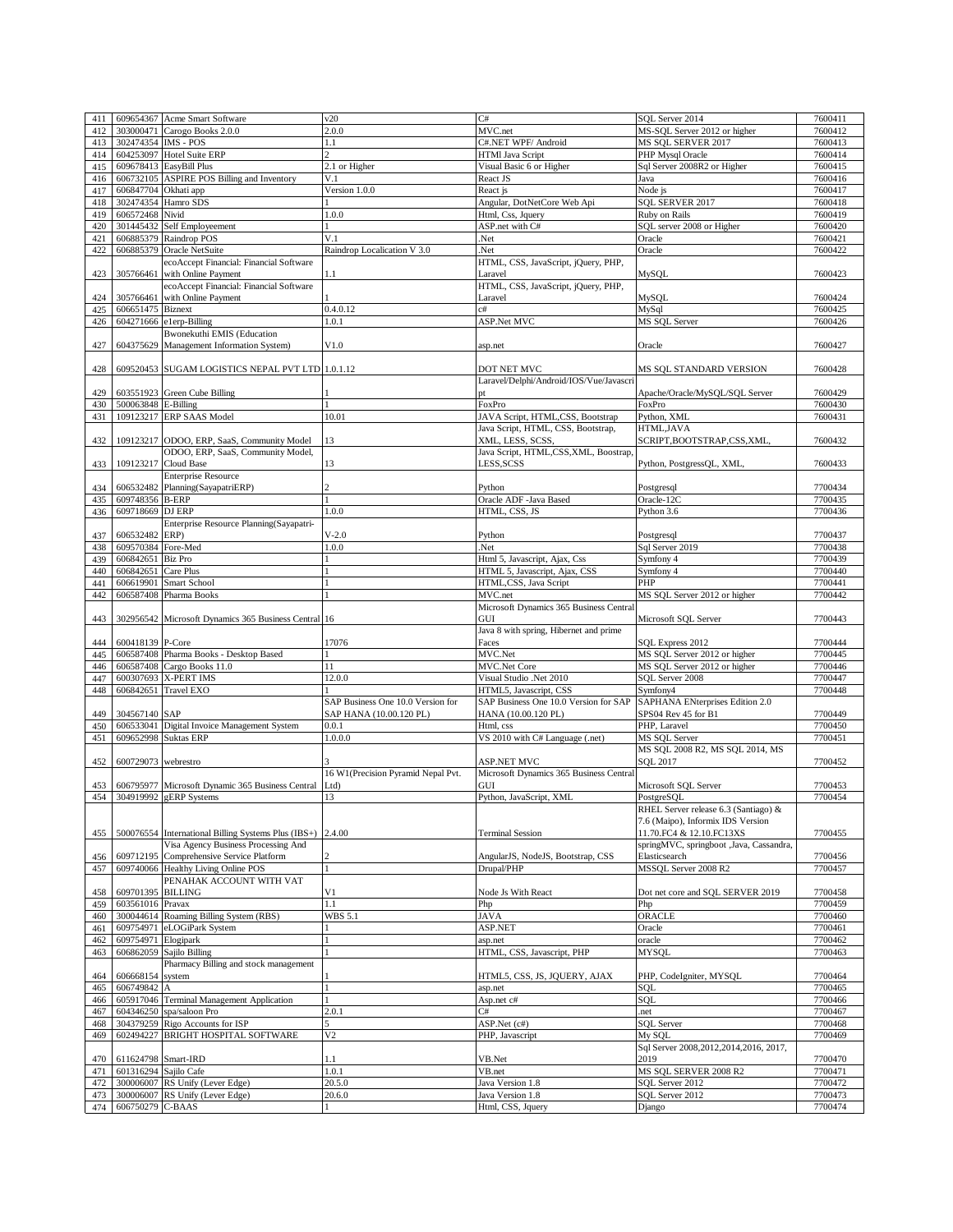| 411        | 609654367             | <b>Acme Smart Software</b>                                                                        | v20                                | C#                                             | SOL Server 2014                                                     | 7600411            |
|------------|-----------------------|---------------------------------------------------------------------------------------------------|------------------------------------|------------------------------------------------|---------------------------------------------------------------------|--------------------|
| 412        |                       | 303000471 Carogo Books 2.0.0                                                                      | 2.0.0                              | MVC.net                                        | MS-SQL Server 2012 or higher                                        | 7600412            |
| 413        | 302474354 IMS - POS   |                                                                                                   | 1.1                                | C#.NET WPF/ Android                            | MS SQL SERVER 2017                                                  | 7600413            |
| 414        |                       | 604253097 Hotel Suite ERP                                                                         |                                    | HTMI Java Script                               | PHP Mysql Oracle                                                    | 7600414<br>7600415 |
| 415        | 606732105             | 609678413 EasyBill Plus<br><b>ASPIRE POS Billing and Inventory</b>                                | 2.1 or Higher                      | Visual Basic 6 or Higher<br>React JS           | Sql Server 2008R2 or Higher<br>Java                                 | 7600416            |
| 416<br>417 | 606847704 Okhati app  |                                                                                                   | V.1<br>Version 1.0.0               | React js                                       | Node js                                                             | 7600417            |
| 418        | 302474354             | Hamro SDS                                                                                         |                                    | Angular, DotNetCore Web Api                    | SQL SERVER 2017                                                     | 7600418            |
| 419        | 606572468             | Nivid                                                                                             | 1.0.0                              | Html, Css, Jquery                              | Ruby on Rails                                                       | 7600419            |
| 420        | 301445432             | Self Employeement                                                                                 | $\mathbf{1}$                       | ASP.net with C#                                | SQL server 2008 or Higher                                           | 7600420            |
| 421        | 606885379             | Raindrop POS                                                                                      | V.1                                | Net.                                           | Oracle                                                              | 7600421            |
| 422        | 606885379             | Oracle NetSuite                                                                                   | Raindrop Localication V 3.0        | .Net                                           | Oracle                                                              | 7600422            |
|            |                       | ecoAccept Financial: Financial Software                                                           |                                    | HTML, CSS, JavaScript, jQuery, PHP,            |                                                                     |                    |
| 423        |                       | 305766461 with Online Payment<br>ecoAccept Financial: Financial Software                          | 1.1                                | Laravel<br>HTML, CSS, JavaScript, jQuery, PHP, | MySQL                                                               | 7600423            |
| 424        |                       | 305766461 with Online Payment                                                                     |                                    | Laravel                                        | MySQL                                                               | 7600424            |
| 425        | 606651475             | <b>Biznext</b>                                                                                    | 0.4.0.12                           | c#                                             | MySql                                                               | 7600425            |
| 426        |                       | 604271666 e1erp-Billing                                                                           | 1.0.1                              | ASP.Net MVC                                    | MS SQL Server                                                       | 7600426            |
|            |                       | Bwonekuthi EMIS (Education                                                                        |                                    |                                                |                                                                     |                    |
| 427        |                       | 604375629 Management Information System)                                                          | V1.0                               | asp.net                                        | Oracle                                                              | 7600427            |
| 428        |                       | 609520453 SUGAM LOGISTICS NEPAL PVT LTD 1.0.1.12                                                  |                                    | DOT NET MVC                                    | MS SQL STANDARD VERSION                                             | 7600428            |
|            |                       |                                                                                                   |                                    | Laravel/Delphi/Android/IOS/Vue/Javascri        |                                                                     |                    |
| 429        |                       | 603551923 Green Cube Billing                                                                      |                                    | pt                                             | Apache/Oracle/MySQL/SQL Server                                      | 7600429            |
| 430        | 500063848 E-Billing   |                                                                                                   |                                    | FoxPro                                         | FoxPro                                                              | 7600430            |
| 431        |                       | 109123217 ERP SAAS Model                                                                          | 10.01                              | JAVA Script, HTML,CSS, Bootstrap               | Python, XML                                                         | 7600431            |
|            |                       |                                                                                                   |                                    | Java Script, HTML, CSS, Bootstrap,             | HTML, JAVA                                                          |                    |
| 432        |                       | 109123217 ODOO, ERP, SaaS, Community Model                                                        | 13                                 | XML, LESS, SCSS,                               | SCRIPT, BOOTSTRAP, CSS, XML,                                        | 7600432            |
|            |                       | ODOO, ERP, SaaS, Community Model,                                                                 |                                    | Java Script, HTML,CSS,XML, Boostrap,           |                                                                     | 7600433            |
| 433        |                       | 109123217 Cloud Base<br><b>Enterprise Resource</b>                                                | 13                                 | LESS, SCSS                                     | Python, PostgressQL, XML,                                           |                    |
| 434        |                       | 606532482 Planning(SayapatriERP)                                                                  |                                    | Python                                         | Postgresql                                                          | 7700434            |
| 435        | 609748356 B-ERP       |                                                                                                   |                                    | Oracle ADF -Java Based                         | Oracle-12C                                                          | 7700435            |
| 436        | 609718669 DJ ERP      |                                                                                                   | 1.0.0                              | HTML, CSS, JS                                  | Python 3.6                                                          | 7700436            |
|            |                       | Enterprise Resource Planning(Sayapatri-                                                           |                                    |                                                |                                                                     |                    |
| 437        | 606532482 ERP)        |                                                                                                   | $V-2.0$                            | Python                                         | Postgresql                                                          | 7700437            |
| 438        | 609570384             | Fore-Med                                                                                          | 1.0.0                              | .Net                                           | Sal Server 2019                                                     | 7700438            |
| 439        | 606842651             | <b>Biz Pro</b>                                                                                    |                                    | Html 5, Javascript, Ajax, Css                  | Symfony 4                                                           | 7700439            |
| 440        | 606842651             | Care Plus                                                                                         |                                    | HTML 5, Javascript, Ajax, CSS                  | Symfony 4                                                           | 7700440            |
| 441        | 606619901             | Smart School                                                                                      |                                    | HTML,CSS, Java Script                          | PHP                                                                 | 7700441            |
| 442        | 606587408             | Pharma Books                                                                                      |                                    | MVC.net                                        | MS SQL Server 2012 or higher                                        | 7700442            |
|            |                       |                                                                                                   |                                    | Microsoft Dynamics 365 Business Central        |                                                                     |                    |
| 443        |                       | 302956542 Microsoft Dynamics 365 Business Central 16                                              |                                    | GUI                                            | Microsoft SQL Server                                                | 7700443            |
|            |                       |                                                                                                   |                                    | Java 8 with spring, Hibernet and prime         |                                                                     |                    |
| 444        | 600418139 P-Core      |                                                                                                   | 17076                              | Faces                                          | SQL Express 2012                                                    | 7700444            |
| 445        |                       | 606587408 Pharma Books - Desktop Based                                                            |                                    | MVC.Net                                        | MS SQL Server 2012 or higher                                        | 7700445            |
| 446        |                       | 606587408 Cargo Books 11.0                                                                        | 11                                 | <b>MVC.Net Core</b>                            | MS SQL Server 2012 or higher                                        | 7700446            |
| 447        | 600307693             | <b>X-PERT IMS</b>                                                                                 | 12.0.0                             | Visual Studio .Net 2010                        | SQL Server 2008                                                     | 7700447            |
| 448        |                       | 606842651 Travel EXO                                                                              |                                    | HTML5, Javascript, CSS                         | Symfony4                                                            | 7700448            |
|            |                       |                                                                                                   | SAP Business One 10.0 Version for  | SAP Business One 10.0 Version for SAP          | SAPHANA ENterprises Edition 2.0                                     |                    |
| 449        | 304567140 SAP         |                                                                                                   | SAP HANA (10.00.120 PL)<br>0.0.1   | HANA (10.00.120 PL)                            | SPS04 Rev 45 for B1<br>PHP, Laravel                                 | 7700449<br>7700450 |
| 450<br>451 | 609652998             | 606533041 Digital Invoice Management System<br><b>Suktas ERP</b>                                  | 1.0.0.0                            | Html, css<br>VS 2010 with C# Language (.net)   | MS SQL Server                                                       | 7700451            |
|            |                       |                                                                                                   |                                    |                                                | MS SQL 2008 R2, MS SQL 2014, MS                                     |                    |
| 452        | 600729073 webrestro   |                                                                                                   |                                    | <b>ASP.NET MVC</b>                             | <b>SOL 2017</b>                                                     | 7700452            |
|            |                       |                                                                                                   | 16 W1(Precision Pyramid Nepal Pvt. | Microsoft Dynamics 365 Business Central        |                                                                     |                    |
| 453        |                       | 606795977 Microsoft Dynamic 365 Business Central                                                  | Ltd                                | GUI                                            | Microsoft SQL Server                                                | 7700453            |
| 454        |                       | 304919992 gERP Systems                                                                            | 13                                 | Python, JavaScript, XML                        | PostgreSQL                                                          | 7700454            |
|            |                       |                                                                                                   |                                    |                                                | RHEL Server release 6.3 (Santiago) &                                |                    |
|            |                       |                                                                                                   |                                    |                                                | 7.6 (Maipo), Informix IDS Version                                   |                    |
| 455        |                       | 500076554 International Billing Systems Plus (IBS+) 2.4.00<br>Visa Agency Business Processing And |                                    | <b>Terminal Session</b>                        | 11.70.FC4 & 12.10.FC13XS<br>springMVC, springboot ,Java, Cassandra, | 7700455            |
| 456        |                       | 609712195 Comprehensive Service Platform                                                          |                                    | AngularJS, NodeJS, Bootstrap, CSS              | Elasticsearch                                                       | 7700456            |
| 457        |                       | 609740066 Healthy Living Online POS                                                               |                                    | Drupal/PHP                                     | MSSQL Server 2008 R2                                                | 7700457            |
|            |                       | PENAHAK ACCOUNT WITH VAT                                                                          |                                    |                                                |                                                                     |                    |
| 458        | 609701395 BILLING     |                                                                                                   | V1                                 | Node Js With React                             | Dot net core and SQL SERVER 2019                                    | 7700458            |
| 459        | 603561016 Pravax      |                                                                                                   | 1.1                                | Php                                            | Php                                                                 | 7700459            |
| 460        |                       | 300044614 Roaming Billing System (RBS)                                                            | <b>WBS 5.1</b>                     | JAVA                                           | ORACLE                                                              | 7700460            |
| 461        | 609754971             | eLOGiPark System                                                                                  |                                    | ASP.NET                                        | Oracle                                                              | 7700461            |
| 462        | 609754971             | Elogipark                                                                                         |                                    | asp.net                                        | oracle                                                              | 7700462            |
| 463        | 606862059             | Sajilo Billing                                                                                    |                                    | HTML, CSS, Javascript, PHP                     | MYSQL                                                               | 7700463            |
|            |                       | Pharmacy Billing and stock management                                                             |                                    |                                                |                                                                     |                    |
| 464        | 606668154             | system                                                                                            |                                    | HTML5, CSS, JS, JQUERY, AJAX                   | PHP, CodeIgniter, MYSQL                                             | 7700464            |
| 465        | 606749842             | A                                                                                                 |                                    | asp.net                                        | SOL                                                                 | 7700465            |
| 466        |                       | 605917046 Terminal Management Application                                                         |                                    | Asp.net c#                                     | SQL                                                                 | 7700466            |
| 467        | 604346250             | spa/saloon Pro                                                                                    | 2.0.1                              | C#                                             | .net                                                                | 7700467            |
| 468        | 304379259             | Rigo Accounts for ISP                                                                             |                                    | ASP.Net $\overline{(c#)}$                      | <b>SQL Server</b>                                                   | 7700468            |
| 469        | 602494227             | BRIGHT HOSPITAL SOFTWARE                                                                          | V <sub>2</sub>                     | PHP, Javascript                                | My SOL                                                              | 7700469            |
|            | 611624798 Smart-IRD   |                                                                                                   |                                    | VB.Net                                         | Sql Server 2008, 2012, 2014, 2016, 2017,<br>2019                    |                    |
| 470<br>471 | 601316294 Sajilo Cafe |                                                                                                   | 1.1<br>1.0.1                       | VB.net                                         | MS SQL SERVER 2008 R2                                               | 7700470<br>7700471 |
|            |                       |                                                                                                   | 20.5.0                             | Java Version 1.8                               | SQL Server 2012                                                     | 7700472            |
| 472<br>473 |                       | 300006007 RS Unify (Lever Edge)<br>300006007 RS Unify (Lever Edge)                                | 20.6.0                             | Java Version 1.8                               | SQL Server 2012                                                     | 7700473            |
|            | 606750279 C-BAAS      |                                                                                                   |                                    | Html, CSS, Jquery                              | Django                                                              | 7700474            |
| 474        |                       |                                                                                                   |                                    |                                                |                                                                     |                    |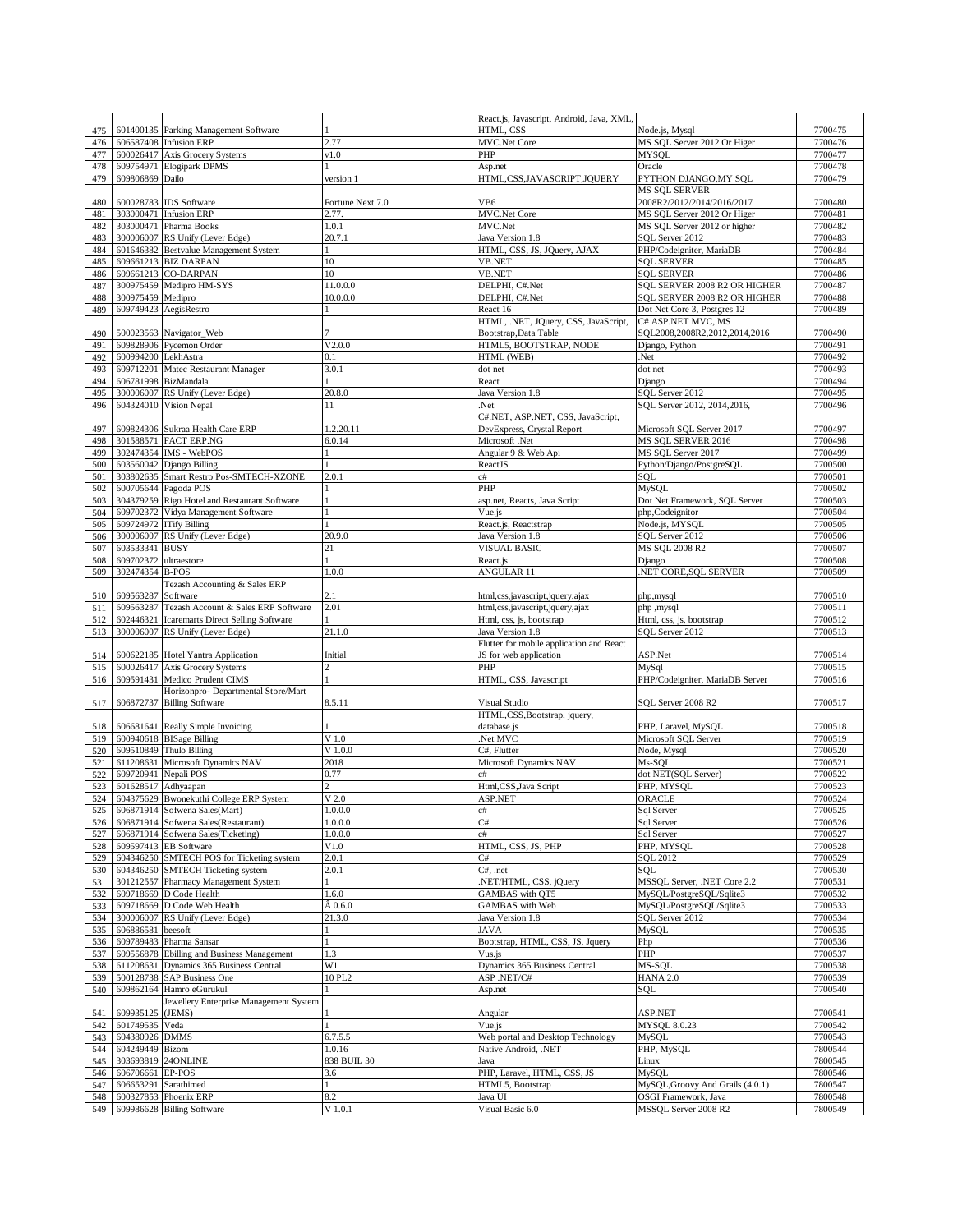|     |                      |                                              |                  | React.js, Javascript, Android, Java, XML |                                  |         |
|-----|----------------------|----------------------------------------------|------------------|------------------------------------------|----------------------------------|---------|
| 475 |                      | 601400135 Parking Management Software        |                  | HTML, CSS                                | Node.js, Mysql                   | 7700475 |
| 476 |                      | 606587408 Infusion ERP                       | 2.77             | <b>MVC.Net Core</b>                      | MS SQL Server 2012 Or Higer      | 7700476 |
|     |                      | 600026417 Axis Grocery Systems               | v1.0             | PHP                                      | <b>MYSQL</b>                     | 7700477 |
| 477 |                      |                                              |                  |                                          |                                  |         |
| 478 |                      | 609754971 Elogipark DPMS                     |                  | Asp.net                                  | Oracle                           | 7700478 |
| 479 | 609806869 Dailo      |                                              | version 1        | HTML,CSS,JAVASCRIPT,JQUERY               | PYTHON DJANGO, MY SQL            | 7700479 |
|     |                      |                                              |                  |                                          | <b>MS SQL SERVER</b>             |         |
| 480 |                      | 600028783 IDS Software                       | Fortune Next 7.0 | VB6                                      | 2008R2/2012/2014/2016/2017       | 7700480 |
| 481 |                      | 303000471 Infusion ERP                       | 2.77.            | <b>MVC.Net Core</b>                      | MS SQL Server 2012 Or Higer      | 7700481 |
| 482 |                      | 303000471 Pharma Books                       | 1.0.1            | MVC.Net                                  | MS SQL Server 2012 or higher     | 7700482 |
| 483 |                      | 300006007 RS Unify (Lever Edge)              | 20.7.1           | Java Version 1.8                         | SQL Server 2012                  | 7700483 |
|     |                      |                                              |                  |                                          |                                  |         |
| 484 |                      | 601646382 Bestvalue Management System        |                  | HTML, CSS, JS, JQuery, AJAX              | PHP/Codeigniter, MariaDB         | 7700484 |
| 485 |                      | 609661213 BIZ DARPAN                         | 10               | <b>VB.NET</b>                            | <b>SQL SERVER</b>                | 7700485 |
| 486 |                      | 609661213 CO-DARPAN                          | 10               | <b>VB.NET</b>                            | <b>SOL SERVER</b>                | 7700486 |
| 487 |                      | 300975459 Medipro HM-SYS                     | 11.0.0.0         | DELPHI, C#.Net                           | SQL SERVER 2008 R2 OR HIGHER     | 7700487 |
| 488 | 300975459 Medipro    |                                              | 10.0.0.0         | DELPHI, C#.Net                           | SQL SERVER 2008 R2 OR HIGHER     | 7700488 |
|     |                      |                                              |                  |                                          |                                  |         |
| 489 |                      | 609749423 AegisRestro                        |                  | React 16                                 | Dot Net Core 3, Postgres 12      | 7700489 |
|     |                      |                                              |                  | HTML, .NET, JQuery, CSS, JavaScript,     | C# ASP.NET MVC, MS               |         |
| 490 |                      | 500023563 Navigator_Web                      |                  | Bootstrap, Data Table                    | SQL2008,2008R2,2012,2014,2016    | 7700490 |
| 491 |                      | 609828906 Pycemon Order                      | V2.0.0           | HTML5, BOOTSTRAP, NODE                   | Django, Python                   | 7700491 |
| 492 | 600994200 LekhAstra  |                                              | 0.1              | HTML (WEB)                               | Net.                             | 7700492 |
| 493 | 609712201            | Matec Restaurant Manager                     | 3.0.1            | dot net                                  | dot net                          | 7700493 |
|     |                      |                                              |                  |                                          |                                  |         |
| 494 | 606781998            | BizMandala                                   |                  | React                                    | $\overline{D}$ jango             | 7700494 |
| 495 | 300006007            | RS Unify (Lever Edge)                        | 20.8.0           | Java Version 1.8                         | SQL Server 2012                  | 7700495 |
| 496 |                      | 604324010 Vision Nepal                       | 11               | .Net                                     | SQL Server 2012, 2014, 2016,     | 7700496 |
|     |                      |                                              |                  | C#.NET, ASP.NET, CSS, JavaScript,        |                                  |         |
| 497 |                      | 609824306 Sukraa Health Care ERP             | 1.2.20.11        | DevExpress, Crystal Report               | Microsoft SQL Server 2017        | 7700497 |
|     |                      |                                              |                  |                                          |                                  |         |
| 498 |                      | 301588571 FACT ERP.NG                        | 6.0.14           | Microsoft .Net                           | MS SQL SERVER 2016               | 7700498 |
| 499 |                      | 302474354 IMS - WebPOS                       |                  | Angular 9 & Web Api                      | MS SQL Server 2017               | 7700499 |
| 500 |                      | 603560042 Django Billing                     |                  | ReactJS                                  | Python/Django/PostgreSQL         | 7700500 |
| 501 | 303802635            | Smart Restro Pos-SMTECH-XZONE                | 2.0.1            | c#                                       | SOL                              | 7700501 |
| 502 |                      | 600705644 Pagoda POS                         |                  | PHP                                      | MySQL                            | 7700502 |
|     |                      |                                              |                  |                                          |                                  |         |
| 503 |                      | 304379259 Rigo Hotel and Restaurant Software |                  | asp.net, Reacts, Java Script             | Dot Net Framework, SQL Server    | 7700503 |
| 504 |                      | 609702372 Vidya Management Software          |                  | Vue.js                                   | php,Codeignitor                  | 7700504 |
| 505 |                      | 609724972 ITify Billing                      |                  | React.js, Reactstrap                     | Node.js, MYSQL                   | 7700505 |
| 506 |                      | 300006007 RS Unify (Lever Edge)              | 20.9.0           | Java Version 1.8                         | SQL Server 2012                  | 7700506 |
|     |                      |                                              |                  |                                          |                                  |         |
| 507 | 603533341 BUSY       |                                              | 21               | <b>VISUAL BASIC</b>                      | MS SQL 2008 R2                   | 7700507 |
| 508 | 609702372            | ultraestore                                  |                  | React.js                                 | Django                           | 7700508 |
| 509 | 302474354 B-POS      |                                              | 1.0.0            | ANGULAR 11                               | NET CORE, SQL SERVER             | 7700509 |
|     |                      | Tezash Accounting & Sales ERP                |                  |                                          |                                  |         |
| 510 | 609563287            | Software                                     | 2.1              | html,css,javascript,jquery,ajax          | php, mysql                       | 7700510 |
|     |                      |                                              | 2.01             |                                          |                                  |         |
| 511 | 609563287            | Tezash Account & Sales ERP Software          |                  | html,css,javascript,jquery,ajax          | php ,mysql                       | 7700511 |
| 512 |                      | 602446321 Icaremarts Direct Selling Software |                  | Html, css, js, bootstrap                 | Html, css, js, bootstrap         | 7700512 |
|     |                      |                                              |                  | Java Version 1.8                         |                                  |         |
| 513 |                      | 300006007 RS Unify (Lever Edge)              | 21.1.0           |                                          | SQL Server 2012                  | 7700513 |
|     |                      |                                              |                  |                                          |                                  |         |
|     |                      |                                              |                  | Flutter for mobile application and React |                                  |         |
| 514 |                      | 600622185 Hotel Yantra Application           | Initial          | JS for web application                   | ASP.Net                          | 7700514 |
| 515 |                      | 600026417 Axis Grocery Systems               | $\overline{c}$   | PHP                                      | MySql                            | 7700515 |
| 516 |                      | 609591431 Medico Prudent CIMS                |                  | HTML, CSS, Javascript                    | PHP/Codeigniter, MariaDB Server  | 7700516 |
|     |                      | Horizonpro- Departmental Store/Mart          |                  |                                          |                                  |         |
|     |                      |                                              |                  |                                          |                                  |         |
| 517 |                      | 606872737 Billing Software                   | 8.5.11           | Visual Studio                            | SQL Server 2008 R2               | 7700517 |
|     |                      |                                              |                  | HTML,CSS,Bootstrap, jquery,              |                                  |         |
| 518 |                      | 606681641 Really Simple Invoicing            |                  | database.js                              | PHP, Laravel, MySQL              | 7700518 |
| 519 |                      | 600940618 BISage Billing                     | $V$ 1.0          | Net MVC                                  | Microsoft SQL Server             | 7700519 |
| 520 |                      | 609510849 Thulo Billing                      | V 1.0.0          | C#, Flutter                              | Node, Mysql                      | 7700520 |
|     |                      | 611208631 Microsoft Dynamics NAV             | 2018             | Microsoft Dynamics NAV                   | Ms-SOL                           | 7700521 |
| 521 |                      |                                              |                  |                                          |                                  |         |
| 522 | 609720941            | Nepali POS                                   | 0.77             | c#                                       | dot NET(SQL Server)              | 7700522 |
| 523 |                      | 601628517 Adhyaapan                          |                  | Html,CSS, Java Script                    | PHP, MYSQL                       | 7700523 |
| 524 |                      | 604375629 Bwonekuthi College ERP System      | $V$ 2.0          | ASP.NET                                  | ORACLE                           | 7700524 |
|     |                      | 525 606871914 Sofwena Sales(Mart)            | 1.0.0.0          | C#                                       | Sql Server                       | 7700525 |
|     |                      |                                              |                  | C#                                       |                                  |         |
| 526 |                      | 606871914 Sofwena Sales(Restaurant)          | 1.0.0.0          |                                          | Sql Server                       | 7700526 |
| 527 |                      | 606871914 Sofwena Sales(Ticketing)           | 1.0.0.0          | c#                                       | Sql Server                       | 7700527 |
| 528 |                      | 609597413 EB Software                        | V1.0             | HTML, CSS, JS, PHP                       | PHP, MYSQL                       | 7700528 |
| 529 |                      | 604346250 SMTECH POS for Ticketing system    | 2.0.1            | C#                                       | SOL 2012                         | 7700529 |
| 530 |                      | 604346250 SMTECH Ticketing system            | 2.0.1            | $C#$ , .net                              | SQL                              | 7700530 |
|     |                      |                                              |                  |                                          |                                  |         |
| 531 |                      | 301212557 Pharmacy Management System         |                  | .NET/HTML, CSS, jQuery                   | MSSQL Server, .NET Core 2.2      | 7700531 |
| 532 |                      | 609718669 D Code Health                      | 1.6.0            | GAMBAS with QT5                          | MySQL/PostgreSQL/Sqlite3         | 7700532 |
| 533 |                      | 609718669 D Code Web Health                  | $\hat{A}$ 0.6.0  | <b>GAMBAS</b> with Web                   | MySQL/PostgreSQL/Sqlite3         | 7700533 |
| 534 |                      | 300006007 RS Unify (Lever Edge)              | 21.3.0           | Java Version 1.8                         | SQL Server 2012                  | 7700534 |
| 535 | 606886581 beesoft    |                                              |                  | JAVA                                     | MySQL                            | 7700535 |
|     |                      |                                              |                  |                                          |                                  |         |
| 536 |                      | 609789483 Pharma Sansar                      |                  | Bootstrap, HTML, CSS, JS, Jquery         | Php                              | 7700536 |
| 537 |                      | 609556878 Ebilling and Business Management   | 1.3              | Vus.js                                   | PHP                              | 7700537 |
| 538 |                      | 611208631 Dynamics 365 Business Central      | W1               | Dynamics 365 Business Central            | MS-SOL                           | 7700538 |
| 539 |                      | 500128738 SAP Business One                   | 10 PL2           | ASP.NET/C#                               | <b>HANA 2.0</b>                  | 7700539 |
| 540 |                      | 609862164 Hamro eGurukul                     |                  | Asp.net                                  | SQL                              | 7700540 |
|     |                      |                                              |                  |                                          |                                  |         |
|     |                      | Jewellery Enterprise Management System       |                  |                                          |                                  |         |
| 541 | 609935125 (JEMS)     |                                              |                  | Angular                                  | ASP.NET                          | 7700541 |
| 542 | 601749535 Veda       |                                              |                  | Vue.js                                   | <b>MYSQL 8.0.23</b>              | 7700542 |
| 543 | 604380926 DMMS       |                                              | 6.7.5.5          | Web portal and Desktop Technology        | MySQL                            | 7700543 |
|     |                      |                                              | 1.0.16           |                                          |                                  |         |
| 544 | 604249449 Bizom      |                                              |                  | Native Android, .NET                     | PHP, MySQL                       | 7800544 |
| 545 |                      | 303693819 24ONLINE                           | 838 BUIL 30      | Java                                     | Linux                            | 7800545 |
| 546 | 606706661 EP-POS     |                                              | 3.6              | PHP, Laravel, HTML, CSS, JS              | MySQL                            | 7800546 |
| 547 | 606653291 Sarathimed |                                              |                  | HTML5, Bootstrap                         | MySQL, Groovy And Grails (4.0.1) | 7800547 |
| 548 |                      | 600327853 Phoenix ERP                        | 8.2              | Java UI                                  | OSGI Framework, Java             | 7800548 |
| 549 |                      | 609986628 Billing Software                   | ${\rm V}$ 1.0.1  | Visual Basic 6.0                         | MSSQL Server 2008 R2             | 7800549 |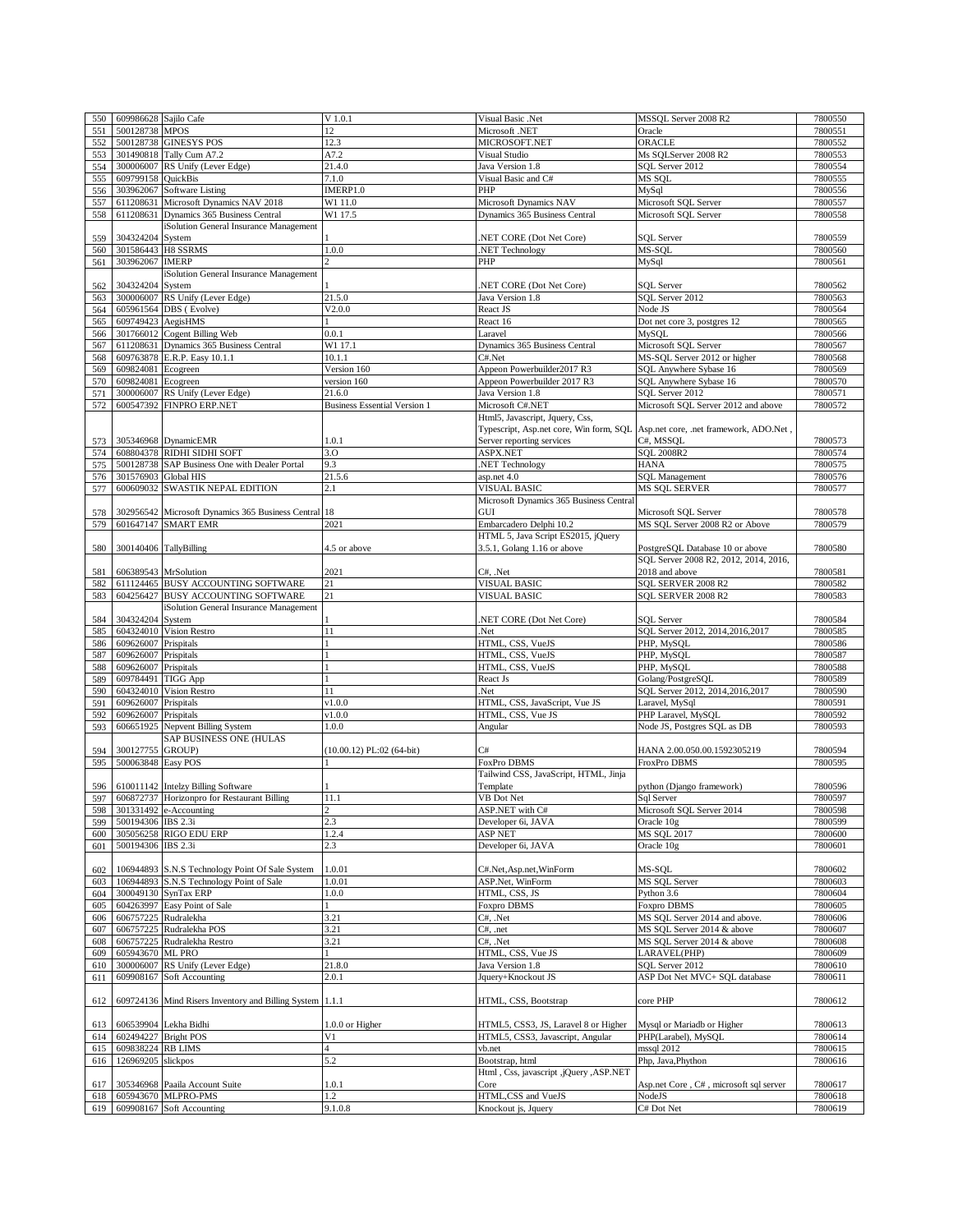| 550 | 609986628 Sajilo Cafe  |                                                          | $V$ 1.0.1                           | Visual Basic .Net                                                              | MSSQL Server 2008 R2                                                     | 7800550 |
|-----|------------------------|----------------------------------------------------------|-------------------------------------|--------------------------------------------------------------------------------|--------------------------------------------------------------------------|---------|
| 551 | 500128738 MPOS         |                                                          | 12                                  | Microsoft .NET                                                                 | Oracle                                                                   | 7800551 |
| 552 |                        | 500128738 GINESYS POS                                    | 12.3                                | MICROSOFT.NET                                                                  | ORACLE                                                                   | 7800552 |
| 553 |                        | 301490818 Tally Cum A7.2                                 | A7.2                                | Visual Studio                                                                  | Ms SQLServer 2008 R2                                                     | 7800553 |
| 554 | 300006007              | RS Unify (Lever Edge)                                    | 21.4.0                              | Java Version 1.8                                                               | SQL Server 2012                                                          | 7800554 |
| 555 | 609799158              | <b>QuickBis</b>                                          | 7.1.0                               | Visual Basic and C#                                                            | MS SQL                                                                   | 7800555 |
| 556 | 303962067              | Software Listing                                         | IMERP1.0                            | PHP                                                                            | MySql                                                                    | 7800556 |
| 557 |                        | 611208631 Microsoft Dynamics NAV 2018                    | W1 11.0                             | Microsoft Dynamics NAV                                                         | Microsoft SQL Server                                                     | 7800557 |
| 558 |                        | 611208631 Dynamics 365 Business Central                  | W1 17.5                             | Dynamics 365 Business Central                                                  | Microsoft SQL Server                                                     | 7800558 |
|     |                        | iSolution General Insurance Management                   |                                     |                                                                                |                                                                          |         |
| 559 | 304324204 System       |                                                          |                                     | NET CORE (Dot Net Core)                                                        | <b>SQL Server</b>                                                        | 7800559 |
| 560 | 301586443 H8 SSRMS     |                                                          | 1.0.0                               | NET Technology                                                                 | MS-SQL                                                                   | 7800560 |
| 561 | 303962067 IMERP        |                                                          |                                     | PHP                                                                            | MySql                                                                    | 7800561 |
|     |                        | iSolution General Insurance Management                   |                                     |                                                                                |                                                                          |         |
| 562 | 304324204              | System                                                   |                                     | NET CORE (Dot Net Core)                                                        | <b>SQL</b> Server                                                        | 7800562 |
| 563 | 300006007              | RS Unify (Lever Edge)                                    | 21.5.0                              | Java Version 1.8                                                               | SQL Server 2012                                                          | 7800563 |
| 564 |                        | 605961564 DBS (Evolve)                                   | V2.0.0                              | React JS                                                                       | Node JS                                                                  | 7800564 |
| 565 | 609749423 AegisHMS     |                                                          |                                     | React 16                                                                       | Dot net core 3, postgres 12                                              | 7800565 |
| 566 |                        | 301766012 Cogent Billing Web                             | 0.0.1                               | Laravel                                                                        | MySQL                                                                    | 7800566 |
| 567 |                        | 611208631 Dynamics 365 Business Central                  | W1 17.1                             | Dynamics 365 Business Central                                                  | Microsoft SQL Server                                                     | 7800567 |
| 568 |                        | 609763878 E.R.P. Easy 10.1.1                             | 10.1.1                              | C#.Net                                                                         | MS-SQL Server 2012 or higher                                             | 7800568 |
| 569 | 609824081              | Ecogreen                                                 | Version 160                         | Appeon Powerbuilder2017 R3                                                     | SQL Anywhere Sybase 16                                                   | 7800569 |
| 570 | 609824081              | Ecogreen                                                 | version 160                         | Appeon Powerbuilder 2017 R3                                                    | SQL Anywhere Sybase 16                                                   | 7800570 |
| 571 | 300006007              | RS Unify (Lever Edge)                                    | 21.6.0                              | Java Version 1.8                                                               | SQL Server 2012                                                          | 7800571 |
| 572 | 600547392              | FINPRO ERP.NET                                           | <b>Business Essential Version 1</b> | Microsoft C#.NET                                                               | Microsoft SQL Server 2012 and above                                      | 7800572 |
|     |                        |                                                          |                                     | Html5, Javascript, Jquery, Css,                                                |                                                                          |         |
|     |                        |                                                          |                                     | Typescript, Asp.net core, Win form, SQL Asp.net core, .net framework, ADO.Net, |                                                                          |         |
| 573 |                        | 305346968 DynamicEMR                                     | 1.0.1                               | Server reporting services                                                      | C#, MSSQL                                                                | 7800573 |
| 574 |                        | 608804378 RIDHI SIDHI SOFT                               | 3.0                                 | ASPX.NET                                                                       | <b>SOL 2008R2</b>                                                        | 7800574 |
| 575 | 500128738              | SAP Business One with Dealer Portal                      | 9.3                                 | .NET Technology                                                                | <b>HANA</b>                                                              | 7800575 |
| 576 | 301576903 Global HIS   |                                                          | 21.5.6                              | asp.net 4.0                                                                    | <b>SQL Management</b>                                                    | 7800576 |
| 577 | 600609032              | SWASTIK NEPAL EDITION                                    | 2.1                                 | VISUAL BASIC                                                                   | MS SQL SERVER                                                            | 7800577 |
|     |                        |                                                          |                                     | Microsoft Dynamics 365 Business Central                                        |                                                                          |         |
| 578 | 302956542              | Microsoft Dynamics 365 Business Central                  | 18                                  | GUI                                                                            | Microsoft SQL Server                                                     | 7800578 |
| 579 | 601647147              | <b>SMART EMR</b>                                         | 2021                                | Embarcadero Delphi 10.2                                                        | MS SQL Server 2008 R2 or Above                                           | 7800579 |
|     |                        |                                                          |                                     | HTML 5, Java Script ES2015, jQuery                                             |                                                                          |         |
|     |                        |                                                          | 4.5 or above                        |                                                                                |                                                                          | 7800580 |
| 580 | 300140406 TallyBilling |                                                          |                                     | 3.5.1, Golang 1.16 or above                                                    | PostgreSQL Database 10 or above<br>SQL Server 2008 R2, 2012, 2014, 2016, |         |
|     |                        |                                                          |                                     |                                                                                |                                                                          |         |
| 581 | 606389543 MrSolution   |                                                          | 2021                                | C#, .Net                                                                       | 2018 and above                                                           | 7800581 |
| 582 |                        | 611124465 BUSY ACCOUNTING SOFTWARE                       | 21                                  | VISUAL BASIC                                                                   | SQL SERVER 2008 R2                                                       | 7800582 |
| 583 | 604256427              | BUSY ACCOUNTING SOFTWARE                                 | 21                                  | VISUAL BASIC                                                                   | SQL SERVER 2008 R2                                                       | 7800583 |
|     |                        | iSolution General Insurance Management                   |                                     |                                                                                |                                                                          |         |
| 584 | 304324204              | System                                                   |                                     | NET CORE (Dot Net Core)                                                        | <b>SOL</b> Server                                                        | 7800584 |
| 585 |                        | 604324010 Vision Restro                                  | 11                                  | Net.                                                                           | SQL Server 2012, 2014, 2016, 2017                                        | 7800585 |
| 586 | 609626007              | Prispitals                                               |                                     | HTML, CSS, VueJS                                                               | PHP, MySQL                                                               | 7800586 |
| 587 | 609626007              | Prispitals                                               |                                     | HTML, CSS, VueJS                                                               | PHP, MySQL                                                               | 7800587 |
| 588 | 609626007              | Prispitals                                               |                                     | HTML, CSS, VueJS                                                               | PHP, MySQL                                                               | 7800588 |
| 589 | 609784491              | <b>TIGG App</b>                                          |                                     | React Js                                                                       | Golang/PostgreSQL                                                        | 7800589 |
| 590 | 604324010              | Vision Restro                                            | 11                                  | .Net                                                                           | SQL Server 2012, 2014, 2016, 2017                                        | 7800590 |
| 591 | 609626007              | Prispitals                                               | v1.0.0                              | HTML, CSS, JavaScript, Vue JS                                                  | Laravel, MySql                                                           | 7800591 |
| 592 | 609626007 Prispitals   |                                                          | v1.0.0                              | HTML, CSS, Vue JS                                                              | PHP Laravel, MySQL                                                       | 7800592 |
| 593 | 606651925              | Nepvent Billing System                                   | 1.0.0                               | Angular                                                                        | Node JS, Postgres SQL as DB                                              | 7800593 |
|     |                        | SAP BUSINESS ONE (HULAS                                  |                                     |                                                                                |                                                                          |         |
| 594 | 300127755              | <b>GROUP)</b>                                            | $(10.00.12)$ PL:02 (64-bit)         | C#                                                                             | HANA 2.00.050.00.1592305219                                              | 7800594 |
| 595 | 500063848 Easy POS     |                                                          |                                     | FoxPro DBMS                                                                    | <b>FroxPro DBMS</b>                                                      | 7800595 |
|     |                        |                                                          |                                     | Tailwind CSS, JavaScript, HTML, Jinja                                          |                                                                          |         |
| 596 |                        | 610011142 Intelzy Billing Software                       |                                     | Template                                                                       | python (Django framework)                                                | 7800596 |
| 597 |                        | 606872737 Horizonpro for Restaurant Billing              | 11.1                                | VB Dot Net                                                                     | Sql Server                                                               | 7800597 |
| 598 |                        | 301331492 e-Accounting                                   |                                     | ASP.NET with C#                                                                | Microsoft SQL Server 2014                                                | 7800598 |
| 599 | 500194306 IBS 2.3i     |                                                          | 2.3                                 | Developer 6i, JAVA                                                             | Oracle 10g                                                               | 7800599 |
| 600 |                        | 305056258 RIGO EDU ERP                                   | 1.2.4                               | <b>ASP NET</b>                                                                 | <b>MS SQL 2017</b>                                                       | 7800600 |
| 601 | 500194306 IBS 2.3i     |                                                          | 2.3                                 | Developer 6i, JAVA                                                             | Oracle 10g                                                               | 7800601 |
|     |                        |                                                          |                                     |                                                                                |                                                                          |         |
| 602 |                        | 106944893 S.N.S Technology Point Of Sale System          | 1.0.01                              | C#.Net, Asp.net, WinForm                                                       | MS-SOL                                                                   | 7800602 |
| 603 |                        | 106944893 S.N.S Technology Point of Sale                 | 1.0.01                              | ASP.Net, WinForm                                                               | <b>MS SQL Server</b>                                                     | 7800603 |
| 604 |                        | 300049130 SynTax ERP                                     | 1.0.0                               | HTML, CSS, JS                                                                  | Python 3.6                                                               | 7800604 |
| 605 |                        | 604263997 Easy Point of Sale                             |                                     | Foxpro DBMS                                                                    | <b>Foxpro DBMS</b>                                                       | 7800605 |
| 606 | 606757225 Rudralekha   |                                                          | 3.21                                | C#, .Net                                                                       | MS SQL Server 2014 and above.                                            | 7800606 |
| 607 |                        | 606757225 Rudralekha POS                                 | 3.21                                | C#, .net                                                                       | MS SQL Server 2014 & above                                               | 7800607 |
| 608 |                        | 606757225 Rudralekha Restro                              | 3.21                                | C#, .Net                                                                       | MS SQL Server 2014 & above                                               | 7800608 |
| 609 | 605943670 ML PRO       |                                                          |                                     | HTML, CSS, Vue JS                                                              | LARAVEL(PHP)                                                             | 7800609 |
| 610 |                        | 300006007 RS Unify (Lever Edge)                          | 21.8.0                              | Java Version 1.8                                                               | SQL Server 2012                                                          | 7800610 |
| 611 |                        | 609908167 Soft Accounting                                | 2.0.1                               | Jquery+Knockout JS                                                             | ASP Dot Net MVC+ SQL database                                            | 7800611 |
|     |                        |                                                          |                                     |                                                                                |                                                                          |         |
| 612 |                        | 609724136 Mind Risers Inventory and Billing System 1.1.1 |                                     | HTML, CSS, Bootstrap                                                           | core PHP                                                                 | 7800612 |
|     |                        |                                                          |                                     |                                                                                |                                                                          |         |
| 613 |                        | 606539904 Lekha Bidhi                                    | 1.0.0 or Higher                     | HTML5, CSS3, JS, Laravel 8 or Higher                                           | Mysql or Mariadb or Higher                                               | 7800613 |
| 614 | 602494227 Bright POS   |                                                          | V <sub>1</sub>                      | HTML5, CSS3, Javascript, Angular                                               | PHP(Larabel), MySQL                                                      | 7800614 |
| 615 | 609838224 RB LIMS      |                                                          | $\overline{4}$                      | vb.net                                                                         | mssql 2012                                                               | 7800615 |
| 616 | 126969205 slickpos     |                                                          | 5.2                                 | Bootstrap, html                                                                | Php, Java, Phython                                                       | 7800616 |
|     |                        |                                                          |                                     | Html, Css, javascript, jQuery, ASP.NET                                         |                                                                          |         |
|     |                        | 305346968 Paaila Account Suite                           | 1.0.1                               | Core                                                                           | Asp.net Core, C#, microsoft sql server                                   | 7800617 |
| 617 |                        | 605943670 MLPRO-PMS                                      | 1.2                                 | HTML,CSS and VueJS                                                             | NodeJS                                                                   | 7800618 |
| 618 |                        | 609908167 Soft Accounting                                | 9.1.0.8                             |                                                                                | C# Dot Net                                                               | 7800619 |
| 619 |                        |                                                          |                                     | Knockout js, Jquery                                                            |                                                                          |         |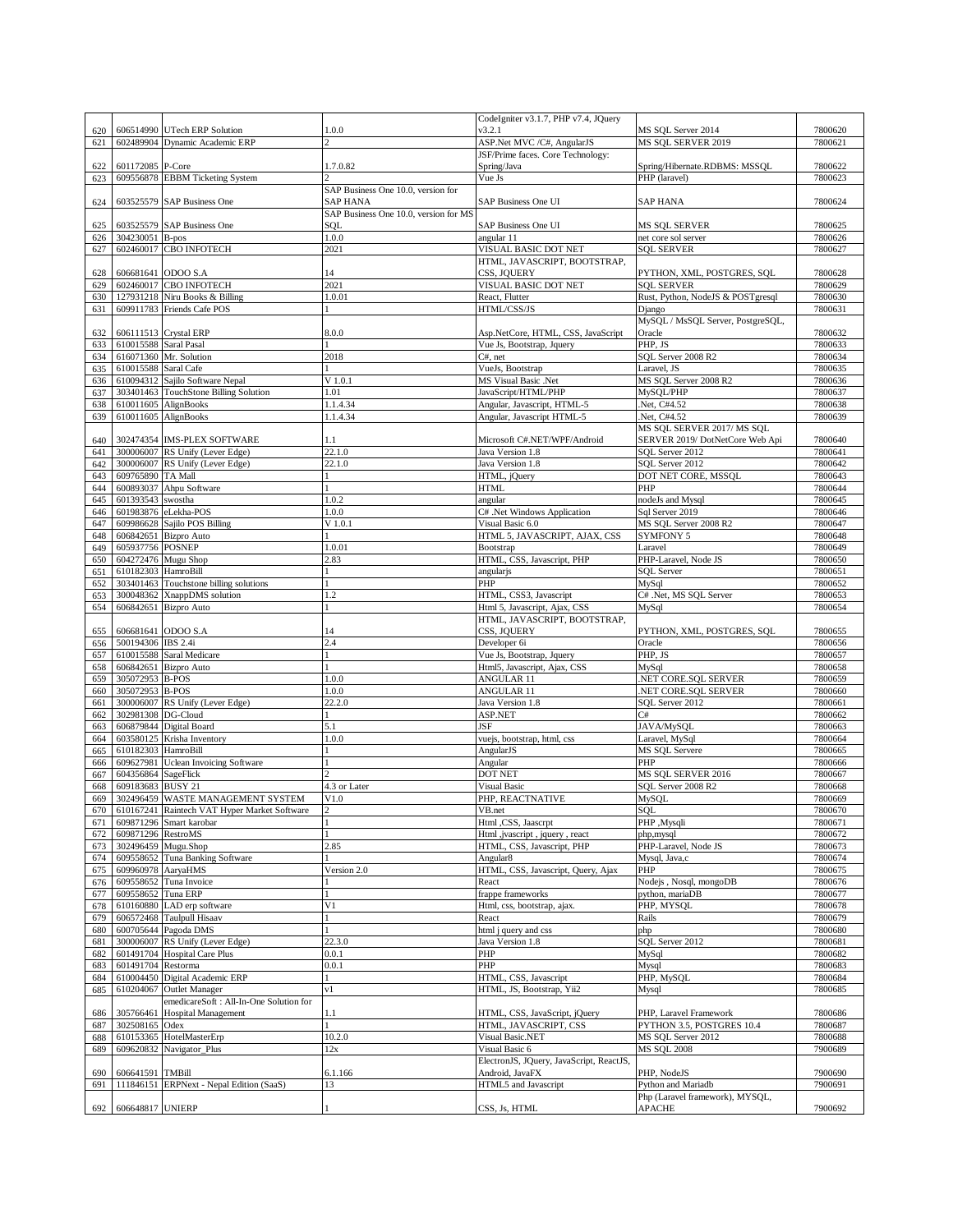|     |                       |                                                            |                                       | CodeIgniter v3.1.7, PHP v7.4, JQuery    |                                                  |                    |
|-----|-----------------------|------------------------------------------------------------|---------------------------------------|-----------------------------------------|--------------------------------------------------|--------------------|
| 620 |                       | 606514990 UTech ERP Solution                               | 1.0.0                                 | v3.2.1                                  | MS SQL Server 2014                               | 7800620            |
| 621 |                       | 602489904 Dynamic Academic ERP                             |                                       | ASP.Net MVC /C#, AngularJS              | MS SOL SERVER 2019                               | 7800621            |
|     |                       |                                                            |                                       | JSF/Prime faces. Core Technology:       |                                                  |                    |
| 622 | 601172085 P-Core      |                                                            | 1.7.0.82                              | Spring/Java                             | Spring/Hibernate.RDBMS: MSSQL                    | 7800622            |
| 623 |                       | 609556878 EBBM Ticketing System                            | C.                                    | Vue Js                                  | PHP (laravel)                                    | 7800623            |
|     |                       |                                                            | SAP Business One 10.0, version for    |                                         |                                                  |                    |
| 624 |                       | 603525579 SAP Business One                                 | SAP HANA                              | SAP Business One UI                     | SAP HANA                                         | 7800624            |
|     |                       |                                                            | SAP Business One 10.0, version for MS |                                         |                                                  |                    |
|     |                       |                                                            |                                       |                                         |                                                  |                    |
| 625 |                       | 603525579 SAP Business One                                 | SOL                                   | SAP Business One UI                     | <b>MS SQL SERVER</b>                             | 7800625            |
| 626 | 304230051 B-pos       |                                                            | 1.0.0                                 | angular 11                              | net core sol server                              | 7800626            |
| 627 |                       | 602460017 CBO INFOTECH                                     | 2021                                  | VISUAL BASIC DOT NET                    | <b>SOL SERVER</b>                                | 7800627            |
|     |                       |                                                            |                                       | HTML, JAVASCRIPT, BOOTSTRAP,            |                                                  |                    |
| 628 |                       | 606681641 ODOO S.A                                         | 14                                    | CSS, JOUERY                             | PYTHON, XML, POSTGRES, SQL                       | 7800628            |
| 629 |                       | 602460017 CBO INFOTECH                                     | 2021                                  | VISUAL BASIC DOT NET                    | <b>SOL SERVER</b>                                | 7800629            |
| 630 |                       | 127931218 Niru Books & Billing                             | 1.0.01                                | React, Flutter                          | Rust, Python, NodeJS & POSTgresql                | 7800630            |
| 631 |                       | 609911783 Friends Cafe POS                                 | $\mathbf{1}$                          | HTML/CSS/JS                             | Django                                           | 7800631            |
|     |                       |                                                            |                                       |                                         | MySQL / MsSQL Server, PostgreSQL,                |                    |
| 632 |                       | 606111513 Crystal ERP                                      | 8.0.0                                 | Asp.NetCore, HTML, CSS, JavaScript      | Oracle                                           | 7800632            |
| 633 | 610015588 Saral Pasal |                                                            |                                       | Vue Js, Bootstrap, Jquery               | PHP, JS                                          | 7800633            |
| 634 |                       | 616071360 Mr. Solution                                     | 2018                                  | $C#$ , net                              | SQL Server 2008 R2                               | 7800634            |
| 635 | 610015588 Saral Cafe  |                                                            |                                       | VueJs, Bootstrap                        | Laravel, JS                                      | 7800635            |
| 636 |                       | 610094312 Sajilo Software Nepal                            | $V$ 1.0.1                             | MS Visual Basic .Net                    | MS SQL Server 2008 R2                            | 7800636            |
| 637 |                       | 303401463 TouchStone Billing Solution                      | 1.01                                  | JavaScript/HTML/PHP                     | MySQL/PHP                                        | 7800637            |
| 638 |                       | 610011605 AlignBooks                                       | 1.1.4.34                              | Angular, Javascript, HTML-5             | Net, C#4.52                                      | 7800638            |
| 639 |                       | 610011605 AlignBooks                                       | 1.1.4.34                              | Angular, Javascript HTML-5              | Net, C#4.52                                      | 7800639            |
|     |                       |                                                            |                                       |                                         | MS SQL SERVER 2017/MS SQL                        |                    |
|     |                       |                                                            |                                       |                                         |                                                  |                    |
| 640 |                       | 302474354 IMS-PLEX SOFTWARE                                | 1.1                                   | Microsoft C#.NET/WPF/Android            | SERVER 2019/ DotNetCore Web Api                  | 7800640            |
| 641 |                       | 300006007 RS Unify (Lever Edge)                            | 22.1.0                                | Java Version 1.8                        | SQL Server 2012                                  | 7800641            |
| 642 |                       | 300006007 RS Unify (Lever Edge)                            | 22.1.0                                | Java Version 1.8                        | SOL Server 2012                                  | 7800642            |
| 643 | 609765890 TA Mall     |                                                            |                                       | HTML, jQuery                            | DOT NET CORE, MSSQL                              | 7800643            |
| 644 |                       | 600893037 Ahpu Software                                    | $\mathbf{1}$                          | <b>HTML</b>                             | PHP                                              | 7800644            |
| 645 | 601393543 swostha     |                                                            | 1.0.2                                 | angular                                 | nodeJs and Mysql                                 | 7800645            |
| 646 |                       | 601983876 eLekha-POS                                       | 1.0.0                                 | C# .Net Windows Application             | Sql Server 2019                                  | 7800646            |
| 647 |                       | 609986628 Sajilo POS Billing                               | V 1.0.1                               | Visual Basic 6.0                        | MS SQL Server 2008 R2                            | 7800647            |
| 648 |                       | 606842651 Bizpro Auto                                      |                                       | HTML 5, JAVASCRIPT, AJAX, CSS           | <b>SYMFONY 5</b>                                 | 7800648            |
| 649 | 605937756 POSNEP      |                                                            | 1.0.01                                | Bootstrap                               | Laravel                                          | 7800649            |
| 650 |                       | 604272476 Mugu Shop                                        | 2.83                                  | HTML, CSS, Javascript, PHP              | PHP-Laravel, Node JS                             | 7800650            |
| 651 | 610182303 HamroBill   |                                                            |                                       | angularjs                               | <b>SOL</b> Server                                | 7800651            |
| 652 |                       | 303401463 Touchstone billing solutions                     |                                       | PHP                                     | MySql                                            | 7800652            |
|     |                       |                                                            | 1.2                                   | HTML, CSS3, Javascript                  | C# .Net, MS SQL Server                           | 7800653            |
| 653 |                       | 300048362 XnappDMS solution                                | $\mathbf{1}$                          |                                         |                                                  |                    |
| 654 |                       | 606842651 Bizpro Auto                                      |                                       | Html 5, Javascript, Ajax, CSS           | MySql                                            | 7800654            |
|     |                       |                                                            |                                       | HTML, JAVASCRIPT, BOOTSTRAP,            |                                                  |                    |
| 655 |                       | 606681641 ODOO S.A                                         | 14                                    | CSS, JQUERY                             | PYTHON, XML, POSTGRES, SQL                       | 7800655            |
| 656 | 500194306 IBS 2.4i    |                                                            | 2.4                                   | Developer 6i                            | Oracle                                           | 7800656            |
| 657 |                       | 610015588 Saral Medicare                                   |                                       | Vue Js, Bootstrap, Jquery               | PHP, JS                                          | 7800657            |
| 658 |                       | 606842651 Bizpro Auto                                      |                                       | Html5, Javascript, Ajax, CSS            | MySql                                            | 7800658            |
| 659 | 305072953 B-POS       |                                                            | 1.0.0                                 | ANGULAR 11                              | NET CORE.SQL SERVER                              | 7800659            |
| 660 | 305072953 B-POS       |                                                            | 1.0.0                                 | ANGULAR 11                              | NET CORE.SOL SERVER                              | 7800660            |
| 661 |                       |                                                            |                                       |                                         |                                                  |                    |
|     |                       | 300006007 RS Unify (Lever Edge)                            | 22.2.0                                | Java Version 1.8                        | SQL Server 2012                                  | 7800661            |
| 662 | 302981308 DG-Cloud    |                                                            | $\mathbf{1}$                          | ASP.NET                                 | C#                                               | 7800662            |
| 663 |                       | 606879844 Digital Board                                    | 5.1                                   | JSF                                     | JAVA/MySQL                                       | 7800663            |
| 664 |                       | 603580125 Krisha Inventory                                 | 1.0.0                                 | vuejs, bootstrap, html, css             | Laravel, MySql                                   | 7800664            |
|     |                       |                                                            |                                       |                                         | <b>MS SQL Servere</b>                            |                    |
| 665 | 610182303 HamroBill   |                                                            |                                       | AngularJS                               | PHP                                              | 7800665<br>7800666 |
| 666 |                       | 609627981 Uclean Invoicing Software                        |                                       | Angular                                 |                                                  |                    |
| 667 | 604356864 SageFlick   |                                                            |                                       | DOT NET                                 | MS SQL SERVER 2016                               | 7800667            |
| 668 | 609183683 BUSY 21     |                                                            | 4.3 or Later                          | <b>Visual Basic</b>                     | SQL Server 2008 R2                               | 7800668            |
| 669 |                       | 302496459 WASTE MANAGEMENT SYSTEM                          | V1.0                                  | PHP, REACTNATIVE                        | MySQL                                            | 7800669            |
|     |                       | 670 610167241 Raintech VAT Hyper Market Software           |                                       | VB.net                                  | SOL                                              | 7800670            |
| 671 |                       | 609871296 Smart karobar                                    | $\mathbf{1}$                          | Html ,CSS, Jaascrpt                     | PHP, Mysqli                                      | 7800671            |
| 672 | 609871296 RestroMS    |                                                            |                                       | Html ,jvascript, jquery, react          | php, mysql                                       | 7800672            |
| 673 |                       | 302496459 Mugu.Shop                                        | 2.85                                  | HTML, CSS, Javascript, PHP              | PHP-Laravel, Node JS                             | 7800673            |
| 674 |                       | 609558652 Tuna Banking Software                            |                                       | Angular8                                | Mysql, Java,c                                    | 7800674            |
| 675 | 609960978 AaryaHMS    |                                                            | Version 2.0                           | HTML, CSS, Javascript, Query, Ajax      | PHP                                              | 7800675            |
| 676 |                       | 609558652 Tuna Invoice                                     |                                       | React                                   | Nodejs, Nosql, mongoDB                           | 7800676            |
| 677 | 609558652 Tuna ERP    |                                                            |                                       | frappe frameworks                       | python, mariaDB                                  | 7800677            |
| 678 |                       | 610160880 LAD erp software                                 | V <sub>1</sub>                        | Html, css, bootstrap, ajax.             | PHP, MYSQL                                       | 7800678            |
| 679 |                       | 606572468 Taulpull Hisaav                                  |                                       | React                                   | Rails                                            | 7800679            |
| 680 |                       | 600705644 Pagoda DMS                                       |                                       | html j query and css                    | php                                              | 7800680            |
| 681 |                       | 300006007 RS Unify (Lever Edge)                            | 22.3.0                                | Java Version 1.8                        | SQL Server 2012                                  | 7800681            |
| 682 |                       | 601491704 Hospital Care Plus                               | 0.0.1                                 | PHP                                     | MySql                                            | 7800682            |
| 683 | 601491704 Restorma    |                                                            | 0.0.1                                 | PHP                                     | Mysql                                            | 7800683            |
|     |                       |                                                            |                                       |                                         |                                                  | 7800684            |
| 684 |                       | 610004450 Digital Academic ERP<br>610204067 Outlet Manager | v1                                    | HTML, CSS, Javascript                   | PHP, MySQL                                       |                    |
| 685 |                       |                                                            |                                       | HTML, JS, Bootstrap, Yii2               | Mysql                                            | 7800685            |
|     |                       | emedicareSoft: All-In-One Solution for                     |                                       |                                         |                                                  |                    |
| 686 |                       | 305766461 Hospital Management                              | 1.1                                   | HTML, CSS, JavaScript, jQuery           | PHP, Laravel Framework                           | 7800686            |
| 687 | 302508165 Odex        |                                                            | 1                                     | HTML, JAVASCRIPT, CSS                   | PYTHON 3.5, POSTGRES 10.4                        | 7800687            |
| 688 |                       | 610153365 HotelMasterErp                                   | 10.2.0                                | Visual Basic.NET                        | MS SQL Server 2012                               | 7800688            |
| 689 |                       | 609620832 Navigator_Plus                                   | 12x                                   | Visual Basic 6                          | <b>MS SQL 2008</b>                               | 7900689            |
|     |                       |                                                            |                                       | ElectronJS, JQuery, JavaScript, ReactJS |                                                  |                    |
| 690 | 606641591 TMBill      |                                                            | 6.1.166                               | Android, JavaFX                         | PHP, NodeJS                                      | 7900690            |
| 691 |                       | 111846151 ERPNext - Nepal Edition (SaaS)                   | 13                                    | HTML5 and Javascript                    | Python and Mariadb                               | 7900691            |
| 692 | 606648817 UNIERP      |                                                            |                                       | CSS, Js, HTML                           | Php (Laravel framework), MYSQL,<br><b>APACHE</b> | 7900692            |